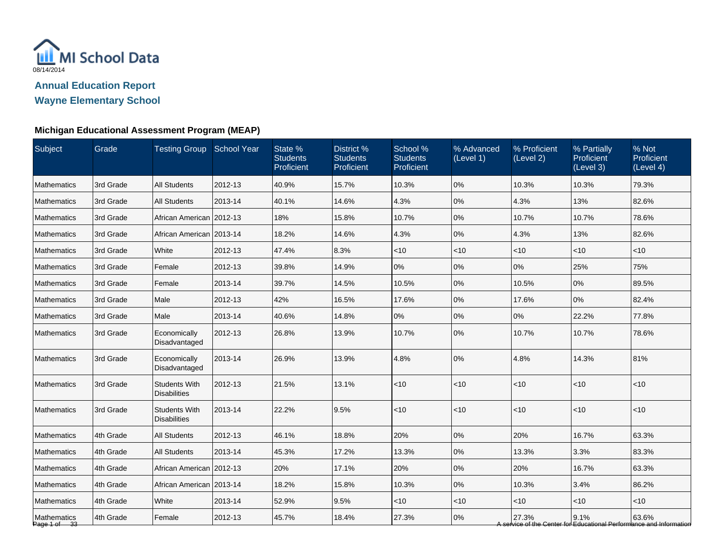

| Subject                     | Grade     | <b>Testing Group School Year</b>            |         | State %<br><b>Students</b><br>Proficient | District %<br><b>Students</b><br>Proficient | School %<br><b>Students</b><br>Proficient | % Advanced<br>(Level 1) | % Proficient<br>(Level 2) | % Partially<br>Proficient<br>(Level 3) | % Not<br>Proficient<br>(Level 4)                                             |
|-----------------------------|-----------|---------------------------------------------|---------|------------------------------------------|---------------------------------------------|-------------------------------------------|-------------------------|---------------------------|----------------------------------------|------------------------------------------------------------------------------|
| <b>Mathematics</b>          | 3rd Grade | <b>All Students</b>                         | 2012-13 | 40.9%                                    | 15.7%                                       | 10.3%                                     | 0%                      | 10.3%                     | 10.3%                                  | 79.3%                                                                        |
| Mathematics                 | 3rd Grade | <b>All Students</b>                         | 2013-14 | 40.1%                                    | 14.6%                                       | 4.3%                                      | 0%                      | 4.3%                      | 13%                                    | 82.6%                                                                        |
| <b>Mathematics</b>          | 3rd Grade | African American 2012-13                    |         | 18%                                      | 15.8%                                       | 10.7%                                     | 0%                      | 10.7%                     | 10.7%                                  | 78.6%                                                                        |
| <b>Mathematics</b>          | 3rd Grade | African American   2013-14                  |         | 18.2%                                    | 14.6%                                       | 4.3%                                      | 0%                      | 4.3%                      | 13%                                    | 82.6%                                                                        |
| Mathematics                 | 3rd Grade | White                                       | 2012-13 | 47.4%                                    | 8.3%                                        | $<$ 10                                    | $<$ 10                  | $<$ 10                    | $<$ 10                                 | $<$ 10                                                                       |
| Mathematics                 | 3rd Grade | Female                                      | 2012-13 | 39.8%                                    | 14.9%                                       | 0%                                        | 0%                      | 0%                        | 25%                                    | 75%                                                                          |
| Mathematics                 | 3rd Grade | Female                                      | 2013-14 | 39.7%                                    | 14.5%                                       | 10.5%                                     | 0%                      | 10.5%                     | 0%                                     | 89.5%                                                                        |
| <b>Mathematics</b>          | 3rd Grade | Male                                        | 2012-13 | 42%                                      | 16.5%                                       | 17.6%                                     | 0%                      | 17.6%                     | 0%                                     | 82.4%                                                                        |
| <b>Mathematics</b>          | 3rd Grade | Male                                        | 2013-14 | 40.6%                                    | 14.8%                                       | 0%                                        | 0%                      | 0%                        | 22.2%                                  | 77.8%                                                                        |
| <b>Mathematics</b>          | 3rd Grade | Economically<br>Disadvantaged               | 2012-13 | 26.8%                                    | 13.9%                                       | 10.7%                                     | 0%                      | 10.7%                     | 10.7%                                  | 78.6%                                                                        |
| Mathematics                 | 3rd Grade | Economically<br>Disadvantaged               | 2013-14 | 26.9%                                    | 13.9%                                       | 4.8%                                      | 0%                      | 4.8%                      | 14.3%                                  | 81%                                                                          |
| <b>Mathematics</b>          | 3rd Grade | <b>Students With</b><br><b>Disabilities</b> | 2012-13 | 21.5%                                    | 13.1%                                       | $<10$                                     | < 10                    | $<$ 10                    | $<10$                                  | $<$ 10                                                                       |
| <b>Mathematics</b>          | 3rd Grade | <b>Students With</b><br><b>Disabilities</b> | 2013-14 | 22.2%                                    | 9.5%                                        | < 10                                      | < 10                    | < 10                      | < 10                                   | $<$ 10                                                                       |
| <b>Mathematics</b>          | 4th Grade | <b>All Students</b>                         | 2012-13 | 46.1%                                    | 18.8%                                       | 20%                                       | 0%                      | 20%                       | 16.7%                                  | 63.3%                                                                        |
| <b>Mathematics</b>          | 4th Grade | <b>All Students</b>                         | 2013-14 | 45.3%                                    | 17.2%                                       | 13.3%                                     | 0%                      | 13.3%                     | 3.3%                                   | 83.3%                                                                        |
| Mathematics                 | 4th Grade | African American   2012-13                  |         | 20%                                      | 17.1%                                       | 20%                                       | 0%                      | 20%                       | 16.7%                                  | 63.3%                                                                        |
| Mathematics                 | 4th Grade | African American   2013-14                  |         | 18.2%                                    | 15.8%                                       | 10.3%                                     | 0%                      | 10.3%                     | 3.4%                                   | 86.2%                                                                        |
| Mathematics                 | 4th Grade | White                                       | 2013-14 | 52.9%                                    | 9.5%                                        | ~10                                       | < 10                    | $<$ 10                    | $<$ 10                                 | $<$ 10                                                                       |
| Mathematics<br>Page 1 of 33 | 4th Grade | Female                                      | 2012-13 | 45.7%                                    | 18.4%                                       | 27.3%                                     | 0%                      | 27.3%                     | 9.1%                                   | 63.6%<br>A service of the Center for Educational Performance and Information |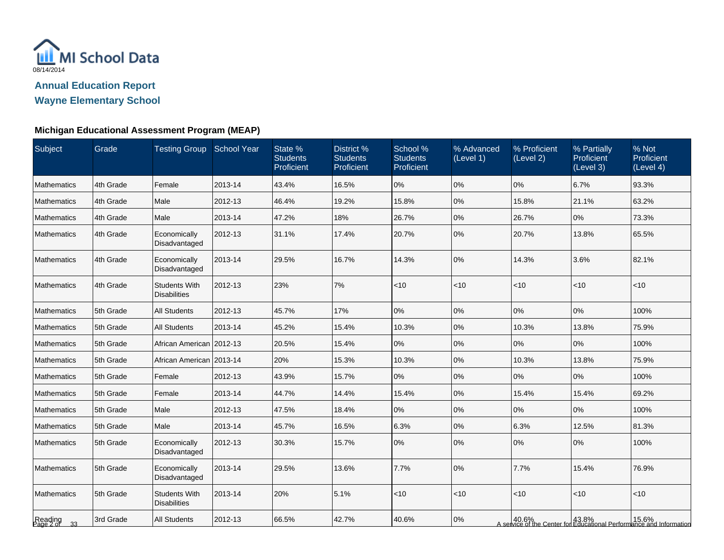

**Wayne Elementary School**

| Subject                 | Grade     | <b>Testing Group School Year</b>            |         | State %<br><b>Students</b><br>Proficient | District %<br><b>Students</b><br>Proficient | School %<br><b>Students</b><br>Proficient | % Advanced<br>(Level 1) | % Proficient<br>(Level 2) | % Partially<br>Proficient<br>(Level 3) | % Not<br>Proficient<br>(Level 4)                                                                            |
|-------------------------|-----------|---------------------------------------------|---------|------------------------------------------|---------------------------------------------|-------------------------------------------|-------------------------|---------------------------|----------------------------------------|-------------------------------------------------------------------------------------------------------------|
| <b>Mathematics</b>      | 4th Grade | Female                                      | 2013-14 | 43.4%                                    | 16.5%                                       | 0%                                        | 0%                      | 0%                        | 6.7%                                   | 93.3%                                                                                                       |
| <b>Mathematics</b>      | 4th Grade | Male                                        | 2012-13 | 46.4%                                    | 19.2%                                       | 15.8%                                     | 0%                      | 15.8%                     | 21.1%                                  | 63.2%                                                                                                       |
| <b>Mathematics</b>      | 4th Grade | Male                                        | 2013-14 | 47.2%                                    | 18%                                         | 26.7%                                     | 0%                      | 26.7%                     | 0%                                     | 73.3%                                                                                                       |
| <b>Mathematics</b>      | 4th Grade | Economically<br>Disadvantaged               | 2012-13 | 31.1%                                    | 17.4%                                       | 20.7%                                     | 0%                      | 20.7%                     | 13.8%                                  | 65.5%                                                                                                       |
| <b>Mathematics</b>      | 4th Grade | Economically<br>Disadvantaged               | 2013-14 | 29.5%                                    | 16.7%                                       | 14.3%                                     | 0%                      | 14.3%                     | 3.6%                                   | 82.1%                                                                                                       |
| Mathematics             | 4th Grade | <b>Students With</b><br><b>Disabilities</b> | 2012-13 | 23%                                      | 7%                                          | $<10$                                     | < 10                    | $<$ 10                    | $<$ 10                                 | < 10                                                                                                        |
| Mathematics             | 5th Grade | <b>All Students</b>                         | 2012-13 | 45.7%                                    | 17%                                         | 0%                                        | 0%                      | 0%                        | 0%                                     | 100%                                                                                                        |
| Mathematics             | 5th Grade | <b>All Students</b>                         | 2013-14 | 45.2%                                    | 15.4%                                       | 10.3%                                     | 0%                      | 10.3%                     | 13.8%                                  | 75.9%                                                                                                       |
| Mathematics             | 5th Grade | African American   2012-13                  |         | 20.5%                                    | 15.4%                                       | 0%                                        | 0%                      | $10\%$                    | 0%                                     | 100%                                                                                                        |
| <b>Mathematics</b>      | 5th Grade | African American 2013-14                    |         | 20%                                      | 15.3%                                       | 10.3%                                     | 0%                      | 10.3%                     | 13.8%                                  | 75.9%                                                                                                       |
| Mathematics             | 5th Grade | Female                                      | 2012-13 | 43.9%                                    | 15.7%                                       | 0%                                        | 0%                      | 0%                        | 0%                                     | 100%                                                                                                        |
| <b>Mathematics</b>      | 5th Grade | Female                                      | 2013-14 | 44.7%                                    | 14.4%                                       | 15.4%                                     | 0%                      | 15.4%                     | 15.4%                                  | 69.2%                                                                                                       |
| <b>Mathematics</b>      | 5th Grade | Male                                        | 2012-13 | 47.5%                                    | 18.4%                                       | 0%                                        | 0%                      | 0%                        | $0\%$                                  | 100%                                                                                                        |
| Mathematics             | 5th Grade | Male                                        | 2013-14 | 45.7%                                    | 16.5%                                       | 6.3%                                      | 0%                      | 6.3%                      | 12.5%                                  | 81.3%                                                                                                       |
| <b>Mathematics</b>      | 5th Grade | Economically<br>Disadvantaged               | 2012-13 | 30.3%                                    | 15.7%                                       | 0%                                        | 0%                      | 0%                        | 0%                                     | 100%                                                                                                        |
| Mathematics             | 5th Grade | Economically<br>Disadvantaged               | 2013-14 | 29.5%                                    | 13.6%                                       | 7.7%                                      | 0%                      | 7.7%                      | 15.4%                                  | 76.9%                                                                                                       |
| Mathematics             | 5th Grade | <b>Students With</b><br><b>Disabilities</b> | 2013-14 | 20%                                      | 5.1%                                        | ~10                                       | < 10                    | $<$ 10                    | < 10                                   | < 10                                                                                                        |
| Reading<br>Page 2 of 33 | 3rd Grade | <b>All Students</b>                         | 2012-13 | 66.5%                                    | 42.7%                                       | 40.6%                                     | 0%                      |                           |                                        | 43.6% 15.6%   15.6%   43.8%   43.8%   43.8%   46.6%   46.6%   46.6%   40.6%   40.6%   40.6%   40.6%   40.6% |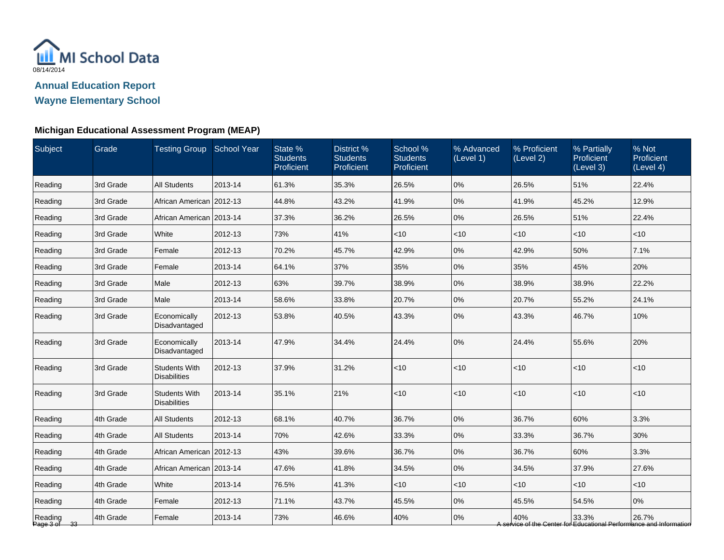

| Subject                 | Grade     | Testing Group School Year                   |         | State %<br><b>Students</b><br>Proficient | District %<br><b>Students</b><br>Proficient | School %<br><b>Students</b><br>Proficient | % Advanced<br>(Level 1) | % Proficient<br>(Level 2) | % Partially<br>Proficient<br>(Level 3) | % Not<br>Proficient<br>(Level 4)                                             |
|-------------------------|-----------|---------------------------------------------|---------|------------------------------------------|---------------------------------------------|-------------------------------------------|-------------------------|---------------------------|----------------------------------------|------------------------------------------------------------------------------|
| Reading                 | 3rd Grade | <b>All Students</b>                         | 2013-14 | 61.3%                                    | 35.3%                                       | 26.5%                                     | 0%                      | 26.5%                     | 51%                                    | 22.4%                                                                        |
| Reading                 | 3rd Grade | African American 2012-13                    |         | 44.8%                                    | 43.2%                                       | 41.9%                                     | 0%                      | 41.9%                     | 45.2%                                  | 12.9%                                                                        |
| Reading                 | 3rd Grade | African American   2013-14                  |         | 37.3%                                    | 36.2%                                       | 26.5%                                     | 0%                      | 26.5%                     | 51%                                    | 22.4%                                                                        |
| Reading                 | 3rd Grade | White                                       | 2012-13 | 73%                                      | 41%                                         | $<$ 10                                    | <10                     | $<$ 10                    | $<$ 10                                 | $<$ 10                                                                       |
| Reading                 | 3rd Grade | Female                                      | 2012-13 | 70.2%                                    | 45.7%                                       | 42.9%                                     | 0%                      | 42.9%                     | 50%                                    | 7.1%                                                                         |
| Reading                 | 3rd Grade | Female                                      | 2013-14 | 64.1%                                    | 37%                                         | 35%                                       | 0%                      | 35%                       | 45%                                    | 20%                                                                          |
| Reading                 | 3rd Grade | Male                                        | 2012-13 | 63%                                      | 39.7%                                       | 38.9%                                     | 0%                      | 38.9%                     | 38.9%                                  | 22.2%                                                                        |
| Reading                 | 3rd Grade | Male                                        | 2013-14 | 58.6%                                    | 33.8%                                       | 20.7%                                     | 0%                      | 20.7%                     | 55.2%                                  | 24.1%                                                                        |
| Reading                 | 3rd Grade | Economically<br>Disadvantaged               | 2012-13 | 53.8%                                    | 40.5%                                       | 43.3%                                     | 0%                      | 43.3%                     | 46.7%                                  | 10%                                                                          |
| Reading                 | 3rd Grade | Economically<br>Disadvantaged               | 2013-14 | 47.9%                                    | 34.4%                                       | 24.4%                                     | 0%                      | 24.4%                     | 55.6%                                  | 20%                                                                          |
| Reading                 | 3rd Grade | <b>Students With</b><br><b>Disabilities</b> | 2012-13 | 37.9%                                    | 31.2%                                       | $<10$                                     | <10                     | $<$ 10                    | $<$ 10                                 | < 10                                                                         |
| Reading                 | 3rd Grade | <b>Students With</b><br><b>Disabilities</b> | 2013-14 | 35.1%                                    | 21%                                         | $<10$                                     | <10                     | $<$ 10                    | < 10                                   | <10                                                                          |
| Reading                 | 4th Grade | <b>All Students</b>                         | 2012-13 | 68.1%                                    | 40.7%                                       | 36.7%                                     | 0%                      | 36.7%                     | 60%                                    | 3.3%                                                                         |
| Reading                 | 4th Grade | <b>All Students</b>                         | 2013-14 | 70%                                      | 42.6%                                       | 33.3%                                     | 0%                      | 33.3%                     | 36.7%                                  | 30%                                                                          |
| Reading                 | 4th Grade | African American   2012-13                  |         | 43%                                      | 39.6%                                       | 36.7%                                     | 0%                      | 36.7%                     | 60%                                    | 3.3%                                                                         |
| Reading                 | 4th Grade | African American   2013-14                  |         | 47.6%                                    | 41.8%                                       | 34.5%                                     | 0%                      | 34.5%                     | 37.9%                                  | 27.6%                                                                        |
| Reading                 | 4th Grade | White                                       | 2013-14 | 76.5%                                    | 41.3%                                       | $<$ 10                                    | $<$ 10                  | $<$ 10                    | $<$ 10                                 | $<$ 10                                                                       |
| Reading                 | 4th Grade | Female                                      | 2012-13 | 71.1%                                    | 43.7%                                       | 45.5%                                     | 0%                      | 45.5%                     | 54.5%                                  | 0%                                                                           |
| Reading<br>Page 3 of 33 | 4th Grade | Female                                      | 2013-14 | 73%                                      | 46.6%                                       | 40%                                       | 0%                      | 40%                       | 33.3%                                  | 26.7%<br>A service of the Center for Educational Performance and Information |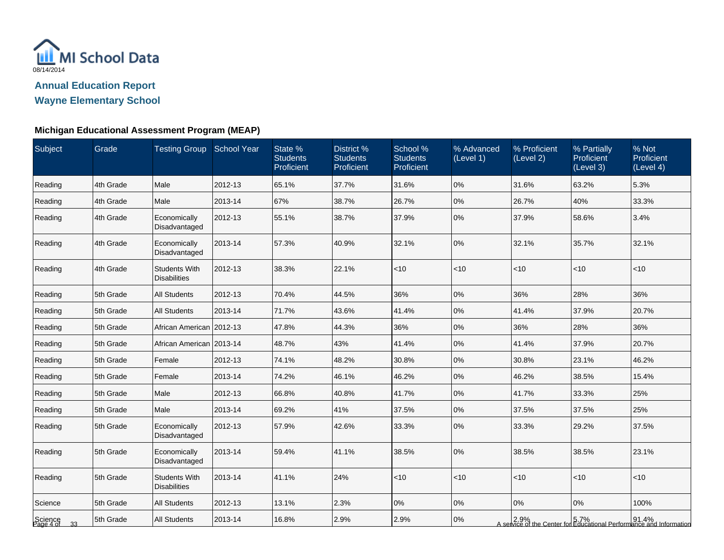

**Wayne Elementary School**

| Subject                    | Grade     | <b>Testing Group School Year</b>            |         | State %<br><b>Students</b><br>Proficient | District %<br><b>Students</b><br>Proficient | School %<br><b>Students</b><br>Proficient | % Advanced<br>(Level 1) | % Proficient<br>(Level 2) | % Partially<br>Proficient<br>(Level 3) | % Not<br>Proficient<br>(Level 4)                                                                      |
|----------------------------|-----------|---------------------------------------------|---------|------------------------------------------|---------------------------------------------|-------------------------------------------|-------------------------|---------------------------|----------------------------------------|-------------------------------------------------------------------------------------------------------|
| Reading                    | 4th Grade | Male                                        | 2012-13 | 65.1%                                    | 37.7%                                       | 31.6%                                     | 0%                      | 31.6%                     | 63.2%                                  | 5.3%                                                                                                  |
| Reading                    | 4th Grade | Male                                        | 2013-14 | 67%                                      | 38.7%                                       | 26.7%                                     | 0%                      | 26.7%                     | 40%                                    | 33.3%                                                                                                 |
| Reading                    | 4th Grade | Economically<br>Disadvantaged               | 2012-13 | 55.1%                                    | 38.7%                                       | 37.9%                                     | 0%                      | 37.9%                     | 58.6%                                  | 3.4%                                                                                                  |
| Reading                    | 4th Grade | Economically<br>Disadvantaged               | 2013-14 | 57.3%                                    | 40.9%                                       | 32.1%                                     | 0%                      | 32.1%                     | 35.7%                                  | 32.1%                                                                                                 |
| Reading                    | 4th Grade | <b>Students With</b><br><b>Disabilities</b> | 2012-13 | 38.3%                                    | 22.1%                                       | < 10                                      | <10                     | <10                       | $ $ < 10                               | $ $ < 10                                                                                              |
| Reading                    | 5th Grade | <b>All Students</b>                         | 2012-13 | 70.4%                                    | 44.5%                                       | 36%                                       | 0%                      | 36%                       | 28%                                    | 36%                                                                                                   |
| Reading                    | 5th Grade | <b>All Students</b>                         | 2013-14 | 71.7%                                    | 43.6%                                       | 41.4%                                     | 0%                      | 41.4%                     | 37.9%                                  | 20.7%                                                                                                 |
| Reading                    | 5th Grade | African American   2012-13                  |         | 47.8%                                    | 44.3%                                       | 36%                                       | 0%                      | 36%                       | 28%                                    | 36%                                                                                                   |
| Reading                    | 5th Grade | African American   2013-14                  |         | 48.7%                                    | 43%                                         | 41.4%                                     | 0%                      | 41.4%                     | 37.9%                                  | 20.7%                                                                                                 |
| Reading                    | 5th Grade | Female                                      | 2012-13 | 74.1%                                    | 48.2%                                       | 30.8%                                     | 0%                      | 30.8%                     | 23.1%                                  | 46.2%                                                                                                 |
| Reading                    | 5th Grade | Female                                      | 2013-14 | 74.2%                                    | 46.1%                                       | 46.2%                                     | 0%                      | 46.2%                     | 38.5%                                  | 15.4%                                                                                                 |
| Reading                    | 5th Grade | Male                                        | 2012-13 | 66.8%                                    | 40.8%                                       | 41.7%                                     | 0%                      | 41.7%                     | 33.3%                                  | 25%                                                                                                   |
| Reading                    | 5th Grade | Male                                        | 2013-14 | 69.2%                                    | 41%                                         | 37.5%                                     | 0%                      | 37.5%                     | 37.5%                                  | 25%                                                                                                   |
| Reading                    | 5th Grade | Economically<br>Disadvantaged               | 2012-13 | 57.9%                                    | 42.6%                                       | 33.3%                                     | 0%                      | 33.3%                     | 29.2%                                  | 37.5%                                                                                                 |
| Reading                    | 5th Grade | Economically<br>Disadvantaged               | 2013-14 | 59.4%                                    | 41.1%                                       | 38.5%                                     | 0%                      | 38.5%                     | 38.5%                                  | 23.1%                                                                                                 |
| Reading                    | 5th Grade | <b>Students With</b><br><b>Disabilities</b> | 2013-14 | 41.1%                                    | 24%                                         | < 10                                      | <10                     | $<$ 10                    | $ $ < 10                               | $ $ < 10                                                                                              |
| Science                    | 5th Grade | <b>All Students</b>                         | 2012-13 | 13.1%                                    | 2.3%                                        | 0%                                        | 0%                      | $ 0\%$                    | 0%                                     | 100%                                                                                                  |
| Science<br>Page 4 of<br>33 | 5th Grade | <b>All Students</b>                         | 2013-14 | 16.8%                                    | 2.9%                                        | 2.9%                                      | 0%                      |                           |                                        | 2.9% 91.4% 91.4% 5.7% 92.9% 91.4% A service of the Center for Educational Performance and Information |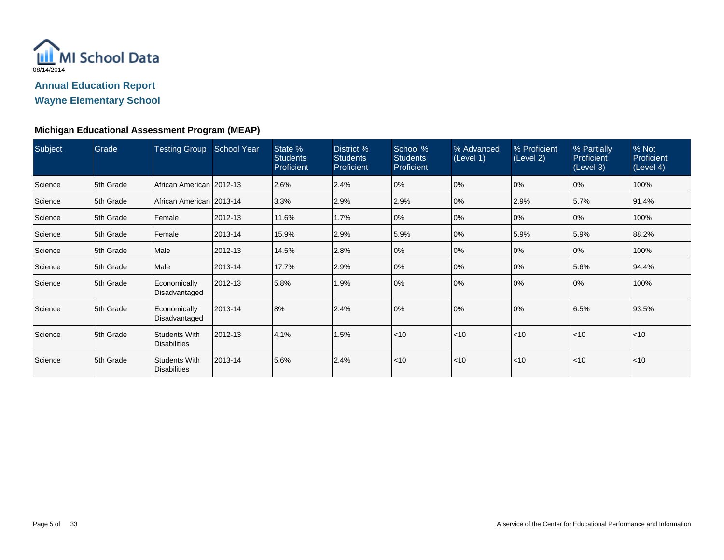

**Wayne Elementary School**

| Subject | Grade     | <b>Testing Group</b>                        | <b>School Year</b> | State %<br><b>Students</b><br>Proficient | District %<br><b>Students</b><br>Proficient | School %<br><b>Students</b><br>Proficient | % Advanced<br>(Level 1) | % Proficient<br>(Level 2) | % Partially<br><b>Proficient</b><br>(Level 3) | % Not<br>Proficient<br>(Level 4) |
|---------|-----------|---------------------------------------------|--------------------|------------------------------------------|---------------------------------------------|-------------------------------------------|-------------------------|---------------------------|-----------------------------------------------|----------------------------------|
| Science | 5th Grade | African American 2012-13                    |                    | 2.6%                                     | 2.4%                                        | 0%                                        | 0%                      | $ 0\%$                    | 0%                                            | 100%                             |
| Science | 5th Grade | African American   2013-14                  |                    | 3.3%                                     | 2.9%                                        | 2.9%                                      | 0%                      | 2.9%                      | 5.7%                                          | 91.4%                            |
| Science | 5th Grade | Female                                      | 2012-13            | 11.6%                                    | 1.7%                                        | 0%                                        | 0%                      | $ 0\%$                    | 0%                                            | 100%                             |
| Science | 5th Grade | Female                                      | 2013-14            | 15.9%                                    | 2.9%                                        | 5.9%                                      | 0%                      | 5.9%                      | 5.9%                                          | 88.2%                            |
| Science | 5th Grade | Male                                        | 2012-13            | 14.5%                                    | 2.8%                                        | 0%                                        | 0%                      | $ 0\%$                    | 0%                                            | 100%                             |
| Science | 5th Grade | Male                                        | 2013-14            | 17.7%                                    | 2.9%                                        | 0%                                        | 0%                      | $ 0\%$                    | 5.6%                                          | 94.4%                            |
| Science | 5th Grade | Economically<br>Disadvantaged               | 2012-13            | 5.8%                                     | 1.9%                                        | 0%                                        | 0%                      | 0%                        | 0%                                            | 100%                             |
| Science | 5th Grade | Economically<br>Disadvantaged               | 2013-14            | 8%                                       | 2.4%                                        | 0%                                        | 0%                      | 0%                        | 6.5%                                          | 93.5%                            |
| Science | 5th Grade | Students With<br><b>Disabilities</b>        | 2012-13            | 4.1%                                     | 1.5%                                        | < 10                                      | $ $ < 10                | < 10                      | $ $ < 10                                      | < 10                             |
| Science | 5th Grade | <b>Students With</b><br><b>Disabilities</b> | 2013-14            | 5.6%                                     | 2.4%                                        | < 10                                      | $ $ < 10                | < 10                      | $ $ < 10                                      | $<$ 10                           |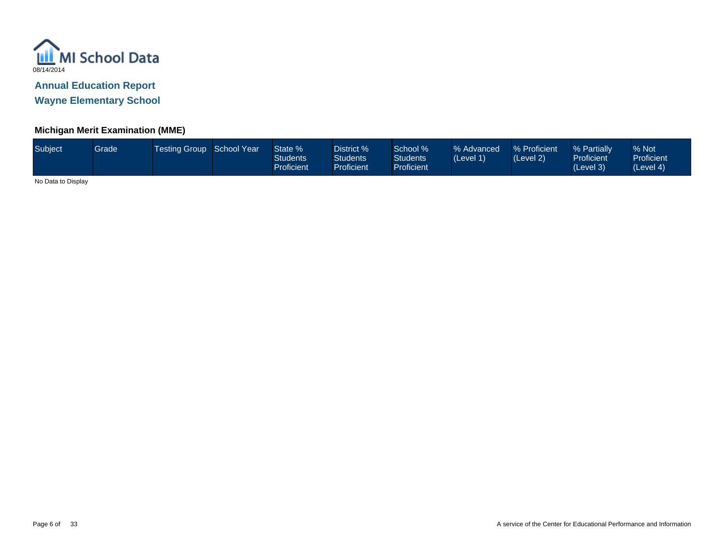

**Wayne Elementary School**

#### **Michigan Merit Examination (MME)**

| Subject | Grade | Testing Group School Year |  | State %<br>Students<br>Proficient | District %<br>Students <sup>®</sup><br><b>Proficient</b> | School %<br><b>Students</b><br>Proficient <sup>1</sup> | % Advanced<br>(Level 1) | % Proficient<br>(Level 2) | % Partially<br><b>Proficient</b><br>(Level 3) | % Not<br><b>Proficient</b><br>(Level 4) |
|---------|-------|---------------------------|--|-----------------------------------|----------------------------------------------------------|--------------------------------------------------------|-------------------------|---------------------------|-----------------------------------------------|-----------------------------------------|
|---------|-------|---------------------------|--|-----------------------------------|----------------------------------------------------------|--------------------------------------------------------|-------------------------|---------------------------|-----------------------------------------------|-----------------------------------------|

No Data to Display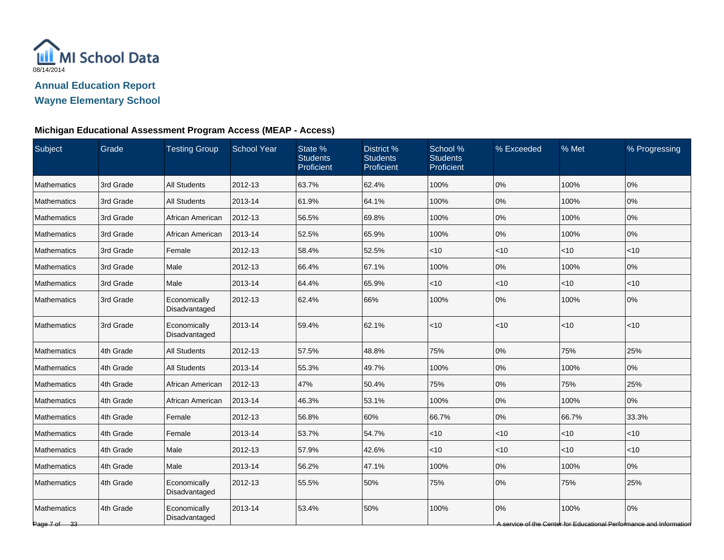

| Subject                     | Grade     | <b>Testing Group</b>          | <b>School Year</b> | State %<br><b>Students</b><br>Proficient | District %<br><b>Students</b><br>Proficient | School %<br><b>Students</b><br>Proficient | % Exceeded | % Met    | % Progressing                                                             |
|-----------------------------|-----------|-------------------------------|--------------------|------------------------------------------|---------------------------------------------|-------------------------------------------|------------|----------|---------------------------------------------------------------------------|
| <b>Mathematics</b>          | 3rd Grade | <b>All Students</b>           | 2012-13            | 63.7%                                    | 62.4%                                       | 100%                                      | 0%         | 100%     | 0%                                                                        |
| Mathematics                 | 3rd Grade | <b>All Students</b>           | 2013-14            | 61.9%                                    | 64.1%                                       | 100%                                      | 0%         | 100%     | 0%                                                                        |
| Mathematics                 | 3rd Grade | African American              | 2012-13            | 56.5%                                    | 69.8%                                       | 100%                                      | 0%         | 100%     | 0%                                                                        |
| Mathematics                 | 3rd Grade | African American              | 2013-14            | 52.5%                                    | 65.9%                                       | 100%                                      | 0%         | 100%     | 0%                                                                        |
| <b>Mathematics</b>          | 3rd Grade | Female                        | 2012-13            | 58.4%                                    | 52.5%                                       | $<$ 10                                    | $<$ 10     | $ $ < 10 | <10                                                                       |
| Mathematics                 | 3rd Grade | Male                          | 2012-13            | 66.4%                                    | 67.1%                                       | 100%                                      | 0%         | 100%     | 0%                                                                        |
| Mathematics                 | 3rd Grade | Male                          | 2013-14            | 64.4%                                    | 65.9%                                       | $<$ 10                                    | $<$ 10     | $ $ < 10 | < 10                                                                      |
| <b>Mathematics</b>          | 3rd Grade | Economically<br>Disadvantaged | 2012-13            | 62.4%                                    | 66%                                         | 100%                                      | 0%         | 100%     | 0%                                                                        |
| Mathematics                 | 3rd Grade | Economically<br>Disadvantaged | 2013-14            | 59.4%                                    | 62.1%                                       | < 10                                      | <10        | $ $ < 10 | < 10                                                                      |
| Mathematics                 | 4th Grade | <b>All Students</b>           | 2012-13            | 57.5%                                    | 48.8%                                       | 75%                                       | 0%         | 75%      | 25%                                                                       |
| Mathematics                 | 4th Grade | <b>All Students</b>           | 2013-14            | 55.3%                                    | 49.7%                                       | 100%                                      | 0%         | 100%     | 0%                                                                        |
| Mathematics                 | 4th Grade | African American              | 2012-13            | 47%                                      | 50.4%                                       | 75%                                       | 0%         | 75%      | 25%                                                                       |
| <b>Mathematics</b>          | 4th Grade | African American              | 2013-14            | 46.3%                                    | 53.1%                                       | 100%                                      | 0%         | 100%     | 0%                                                                        |
| Mathematics                 | 4th Grade | Female                        | 2012-13            | 56.8%                                    | 60%                                         | 66.7%                                     | 0%         | 66.7%    | 33.3%                                                                     |
| <b>Mathematics</b>          | 4th Grade | Female                        | 2013-14            | 53.7%                                    | 54.7%                                       | $<$ 10                                    | $<$ 10     | $ $ < 10 | $<$ 10                                                                    |
| Mathematics                 | 4th Grade | Male                          | 2012-13            | 57.9%                                    | 42.6%                                       | $<$ 10                                    | $<$ 10     | $ $ < 10 | < 10                                                                      |
| <b>Mathematics</b>          | 4th Grade | Male                          | 2013-14            | 56.2%                                    | 47.1%                                       | 100%                                      | 0%         | 100%     | 0%                                                                        |
| <b>Mathematics</b>          | 4th Grade | Economically<br>Disadvantaged | 2012-13            | 55.5%                                    | 50%                                         | 75%                                       | 0%         | 75%      | 25%                                                                       |
| Mathematics<br>Page 7 of 33 | 4th Grade | Economically<br>Disadvantaged | 2013-14            | 53.4%                                    | 50%                                         | 100%                                      | 0%         | 100%     | 0%<br>A service of the Center for Educational Performance and Information |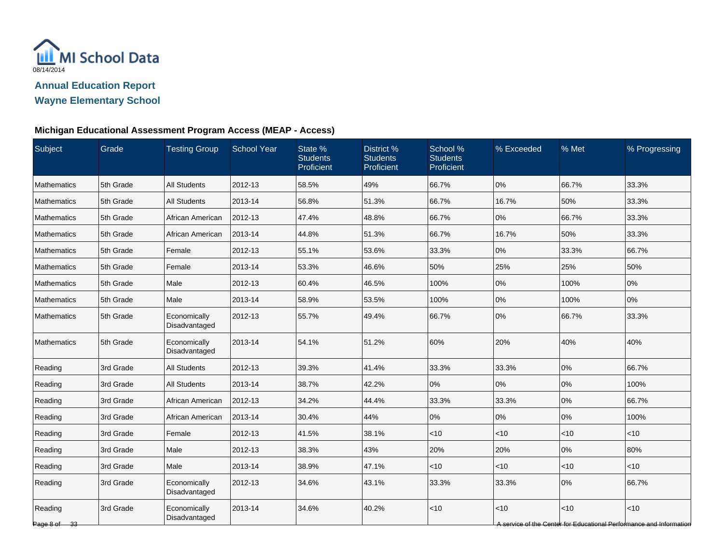

| Subject                 | Grade     | <b>Testing Group</b>          | <b>School Year</b> | State %<br><b>Students</b><br>Proficient | District %<br><b>Students</b><br>Proficient | School %<br><b>Students</b><br>Proficient | % Exceeded | % Met | % Progressing                                                                |
|-------------------------|-----------|-------------------------------|--------------------|------------------------------------------|---------------------------------------------|-------------------------------------------|------------|-------|------------------------------------------------------------------------------|
| <b>Mathematics</b>      | 5th Grade | <b>All Students</b>           | 2012-13            | 58.5%                                    | 49%                                         | 66.7%                                     | 0%         | 66.7% | 33.3%                                                                        |
| Mathematics             | 5th Grade | <b>All Students</b>           | 2013-14            | 56.8%                                    | 51.3%                                       | 66.7%                                     | 16.7%      | 50%   | 33.3%                                                                        |
| Mathematics             | 5th Grade | African American              | 2012-13            | 47.4%                                    | 48.8%                                       | 66.7%                                     | 0%         | 66.7% | 33.3%                                                                        |
| Mathematics             | 5th Grade | African American              | 2013-14            | 44.8%                                    | 51.3%                                       | 66.7%                                     | 16.7%      | 50%   | 33.3%                                                                        |
| Mathematics             | 5th Grade | Female                        | 2012-13            | 55.1%                                    | 53.6%                                       | 33.3%                                     | 0%         | 33.3% | 66.7%                                                                        |
| Mathematics             | 5th Grade | Female                        | 2013-14            | 53.3%                                    | 46.6%                                       | 50%                                       | 25%        | 25%   | 50%                                                                          |
| Mathematics             | 5th Grade | Male                          | 2012-13            | 60.4%                                    | 46.5%                                       | 100%                                      | 0%         | 100%  | 0%                                                                           |
| <b>Mathematics</b>      | 5th Grade | Male                          | 2013-14            | 58.9%                                    | 53.5%                                       | 100%                                      | 0%         | 100%  | 0%                                                                           |
| Mathematics             | 5th Grade | Economically<br>Disadvantaged | 2012-13            | 55.7%                                    | 49.4%                                       | 66.7%                                     | 0%         | 66.7% | 33.3%                                                                        |
| Mathematics             | 5th Grade | Economically<br>Disadvantaged | 2013-14            | 54.1%                                    | 51.2%                                       | 60%                                       | 20%        | 40%   | 40%                                                                          |
| Reading                 | 3rd Grade | <b>All Students</b>           | 2012-13            | 39.3%                                    | 41.4%                                       | 33.3%                                     | 33.3%      | 0%    | 66.7%                                                                        |
| Reading                 | 3rd Grade | <b>All Students</b>           | 2013-14            | 38.7%                                    | 42.2%                                       | 0%                                        | 0%         | 0%    | 100%                                                                         |
| Reading                 | 3rd Grade | African American              | 2012-13            | 34.2%                                    | 44.4%                                       | 33.3%                                     | 33.3%      | 0%    | 66.7%                                                                        |
| Reading                 | 3rd Grade | African American              | 2013-14            | 30.4%                                    | 44%                                         | 0%                                        | 0%         | 0%    | 100%                                                                         |
| Reading                 | 3rd Grade | Female                        | 2012-13            | 41.5%                                    | 38.1%                                       | $<$ 10                                    | $<$ 10     | < 10  | $<$ 10                                                                       |
| Reading                 | 3rd Grade | Male                          | 2012-13            | 38.3%                                    | 43%                                         | 20%                                       | 20%        | 0%    | 80%                                                                          |
| Reading                 | 3rd Grade | Male                          | 2013-14            | 38.9%                                    | 47.1%                                       | $<$ 10                                    | $<$ 10     | <10   | < 10                                                                         |
| Reading                 | 3rd Grade | Economically<br>Disadvantaged | 2012-13            | 34.6%                                    | 43.1%                                       | 33.3%                                     | 33.3%      | 0%    | 66.7%                                                                        |
| Reading<br>Page 8 of 33 | 3rd Grade | Economically<br>Disadvantaged | 2013-14            | 34.6%                                    | 40.2%                                       | $<$ 10                                    | <10        | <10   | $<10$<br>A service of the Center for Educational Performance and Information |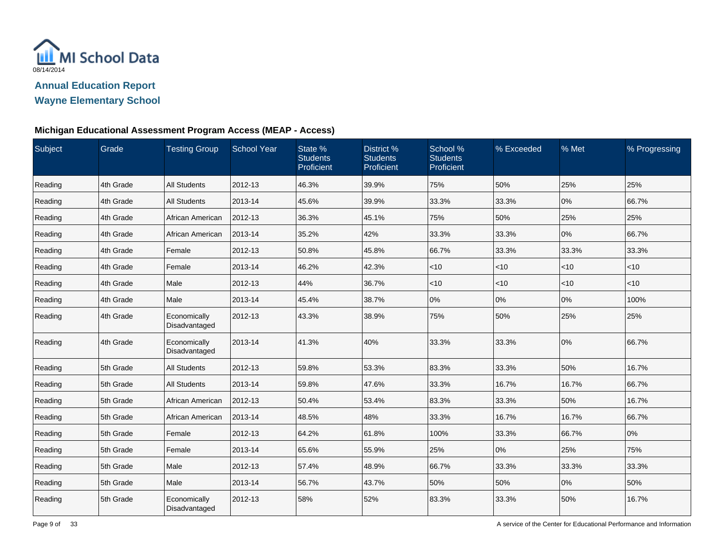

| Subject | Grade     | <b>Testing Group</b>          | School Year | State %<br><b>Students</b><br>Proficient | District %<br><b>Students</b><br>Proficient | School %<br><b>Students</b><br>Proficient | % Exceeded | % Met  | % Progressing |
|---------|-----------|-------------------------------|-------------|------------------------------------------|---------------------------------------------|-------------------------------------------|------------|--------|---------------|
| Reading | 4th Grade | <b>All Students</b>           | 2012-13     | 46.3%                                    | 39.9%                                       | 75%                                       | 50%        | 25%    | 25%           |
| Reading | 4th Grade | <b>All Students</b>           | 2013-14     | 45.6%                                    | 39.9%                                       | 33.3%                                     | 33.3%      | 0%     | 66.7%         |
| Reading | 4th Grade | African American              | 2012-13     | 36.3%                                    | 45.1%                                       | 75%                                       | 50%        | 25%    | 25%           |
| Reading | 4th Grade | African American              | 2013-14     | 35.2%                                    | 42%                                         | 33.3%                                     | 33.3%      | 0%     | 66.7%         |
| Reading | 4th Grade | Female                        | 2012-13     | 50.8%                                    | 45.8%                                       | 66.7%                                     | 33.3%      | 33.3%  | 33.3%         |
| Reading | 4th Grade | Female                        | 2013-14     | 46.2%                                    | 42.3%                                       | $<$ 10                                    | $<$ 10     | $<$ 10 | <10           |
| Reading | 4th Grade | Male                          | 2012-13     | 44%                                      | 36.7%                                       | $<$ 10                                    | <10        | <10    | < 10          |
| Reading | 4th Grade | Male                          | 2013-14     | 45.4%                                    | 38.7%                                       | 0%                                        | 0%         | 0%     | 100%          |
| Reading | 4th Grade | Economically<br>Disadvantaged | 2012-13     | 43.3%                                    | 38.9%                                       | 75%                                       | 50%        | 25%    | 25%           |
| Reading | 4th Grade | Economically<br>Disadvantaged | 2013-14     | 41.3%                                    | 40%                                         | 33.3%                                     | 33.3%      | 0%     | 66.7%         |
| Reading | 5th Grade | <b>All Students</b>           | 2012-13     | 59.8%                                    | 53.3%                                       | 83.3%                                     | 33.3%      | 50%    | 16.7%         |
| Reading | 5th Grade | <b>All Students</b>           | 2013-14     | 59.8%                                    | 47.6%                                       | 33.3%                                     | 16.7%      | 16.7%  | 66.7%         |
| Reading | 5th Grade | African American              | 2012-13     | 50.4%                                    | 53.4%                                       | 83.3%                                     | 33.3%      | 50%    | 16.7%         |
| Reading | 5th Grade | African American              | 2013-14     | 48.5%                                    | 48%                                         | 33.3%                                     | 16.7%      | 16.7%  | 66.7%         |
| Reading | 5th Grade | Female                        | 2012-13     | 64.2%                                    | 61.8%                                       | 100%                                      | 33.3%      | 66.7%  | 0%            |
| Reading | 5th Grade | Female                        | 2013-14     | 65.6%                                    | 55.9%                                       | 25%                                       | 0%         | 25%    | 75%           |
| Reading | 5th Grade | Male                          | 2012-13     | 57.4%                                    | 48.9%                                       | 66.7%                                     | 33.3%      | 33.3%  | 33.3%         |
| Reading | 5th Grade | Male                          | 2013-14     | 56.7%                                    | 43.7%                                       | 50%                                       | 50%        | 0%     | 50%           |
| Reading | 5th Grade | Economically<br>Disadvantaged | 2012-13     | 58%                                      | 52%                                         | 83.3%                                     | 33.3%      | 50%    | 16.7%         |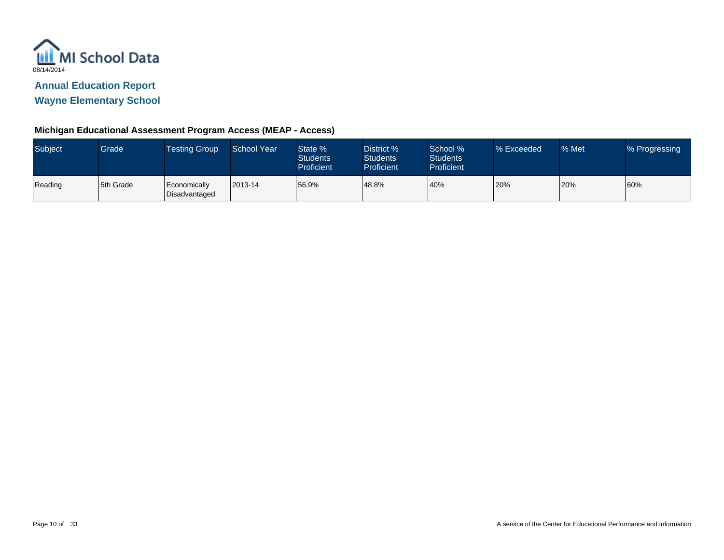

**Wayne Elementary School**

| <b>Subject</b> | Grade <sup>1</sup> | <b>Testing Group</b>          | School Year | State %<br><b>Students</b><br>Proficient | District %<br><b>Students</b><br>Proficient | School %<br><b>Students</b><br><b>Proficient</b> | % Exceeded | % Met | % Progressing |
|----------------|--------------------|-------------------------------|-------------|------------------------------------------|---------------------------------------------|--------------------------------------------------|------------|-------|---------------|
| Reading        | 5th Grade          | Economically<br>Disadvantaged | 2013-14     | 56.9%                                    | 48.8%                                       | 40%                                              | 20%        | 20%   | 60%           |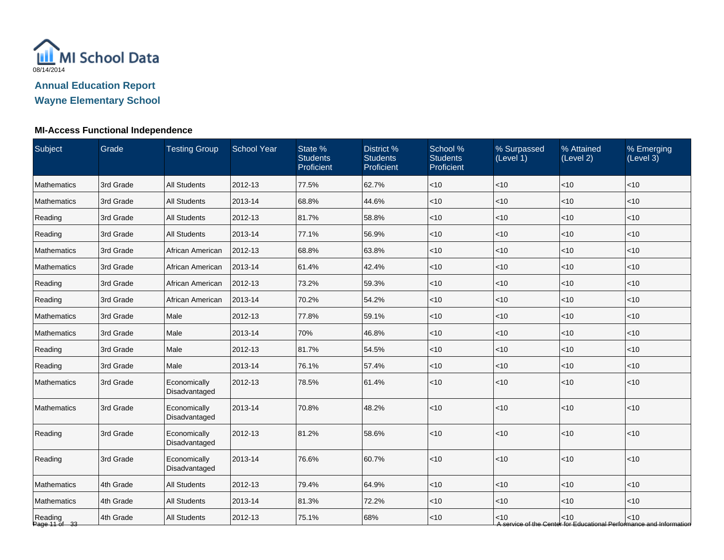

## **MI-Access Functional Independence**

| Subject                  | Grade     | <b>Testing Group</b>          | <b>School Year</b> | State %<br><b>Students</b><br>Proficient | District %<br><b>Students</b><br>Proficient | School %<br><b>Students</b><br>Proficient | % Surpassed<br>(Level 1) | % Attained<br>(Level 2) | % Emerging<br>(Level 3)                                                       |
|--------------------------|-----------|-------------------------------|--------------------|------------------------------------------|---------------------------------------------|-------------------------------------------|--------------------------|-------------------------|-------------------------------------------------------------------------------|
| <b>Mathematics</b>       | 3rd Grade | <b>All Students</b>           | 2012-13            | 77.5%                                    | 62.7%                                       | < 10                                      | < 10                     | < 10                    | $<$ 10                                                                        |
| <b>Mathematics</b>       | 3rd Grade | <b>All Students</b>           | 2013-14            | 68.8%                                    | 44.6%                                       | $<$ 10                                    | <10                      | <10                     | < 10                                                                          |
| Reading                  | 3rd Grade | <b>All Students</b>           | 2012-13            | 81.7%                                    | 58.8%                                       | $<$ 10                                    | <10                      | <10                     | < 10                                                                          |
| Reading                  | 3rd Grade | <b>All Students</b>           | 2013-14            | 77.1%                                    | 56.9%                                       | $<$ 10                                    | < 10                     | < 10                    | $<$ 10                                                                        |
| Mathematics              | 3rd Grade | African American              | 2012-13            | 68.8%                                    | 63.8%                                       | $<$ 10                                    | $<$ 10                   | $<$ 10                  | $<$ 10                                                                        |
| Mathematics              | 3rd Grade | African American              | 2013-14            | 61.4%                                    | 42.4%                                       | $<$ 10                                    | $<$ 10                   | < 10                    | $<$ 10                                                                        |
| Reading                  | 3rd Grade | African American              | 2012-13            | 73.2%                                    | 59.3%                                       | $<$ 10                                    | <10                      | < 10                    | < 10                                                                          |
| Reading                  | 3rd Grade | African American              | 2013-14            | 70.2%                                    | 54.2%                                       | $<$ 10                                    | $<$ 10                   | <10                     | < 10                                                                          |
| Mathematics              | 3rd Grade | Male                          | 2012-13            | 77.8%                                    | 59.1%                                       | $<$ 10                                    | <10                      | < 10                    | < 10                                                                          |
| Mathematics              | 3rd Grade | Male                          | 2013-14            | 70%                                      | 46.8%                                       | $<$ 10                                    | $<$ 10                   | < 10                    | $<$ 10                                                                        |
| Reading                  | 3rd Grade | Male                          | 2012-13            | 81.7%                                    | 54.5%                                       | $<$ 10                                    | $<$ 10                   | < 10                    | $<$ 10                                                                        |
| Reading                  | 3rd Grade | Male                          | 2013-14            | 76.1%                                    | 57.4%                                       | $<$ 10                                    | <10                      | <10                     | < 10                                                                          |
| <b>Mathematics</b>       | 3rd Grade | Economically<br>Disadvantaged | 2012-13            | 78.5%                                    | 61.4%                                       | $<$ 10                                    | <10                      | <10                     | $<$ 10                                                                        |
| Mathematics              | 3rd Grade | Economically<br>Disadvantaged | 2013-14            | 70.8%                                    | 48.2%                                       | $<$ 10                                    | <10                      | < 10                    | < 10                                                                          |
| Reading                  | 3rd Grade | Economically<br>Disadvantaged | 2012-13            | 81.2%                                    | 58.6%                                       | < 10                                      | < 10                     | <10                     | $<$ 10                                                                        |
| Reading                  | 3rd Grade | Economically<br>Disadvantaged | 2013-14            | 76.6%                                    | 60.7%                                       | < 10                                      | < 10                     | < 10                    | < 10                                                                          |
| Mathematics              | 4th Grade | <b>All Students</b>           | 2012-13            | 79.4%                                    | 64.9%                                       | $<$ 10                                    | <10                      | < 10                    | $<$ 10                                                                        |
| Mathematics              | 4th Grade | <b>All Students</b>           | 2013-14            | 81.3%                                    | 72.2%                                       | $<$ 10                                    | <10                      | < 10                    | $<$ 10                                                                        |
| Reading<br>Page 11 of 33 | 4th Grade | <b>All Students</b>           | 2012-13            | 75.1%                                    | 68%                                         | $<$ 10                                    | $<$ 10                   | < 10                    | $<$ 10<br>A service of the Center for Educational Performance and Information |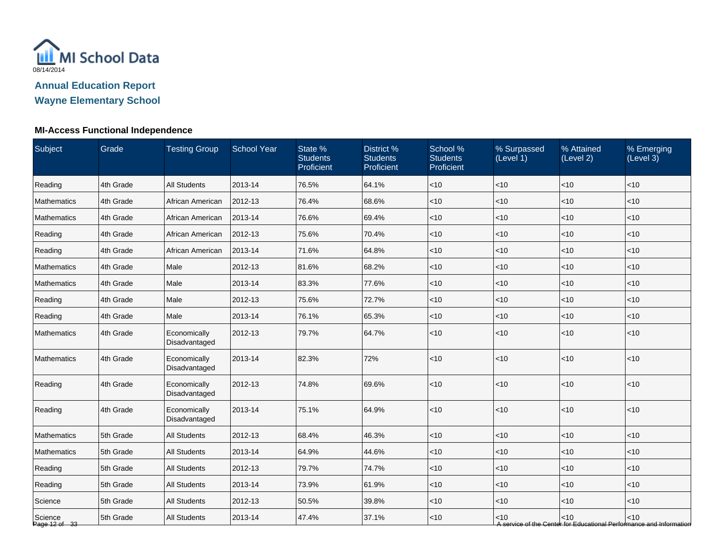

## **MI-Access Functional Independence**

| Subject                  | Grade     | <b>Testing Group</b>          | <b>School Year</b> | State %<br><b>Students</b><br>Proficient | District %<br><b>Students</b><br>Proficient | School %<br><b>Students</b><br>Proficient | % Surpassed<br>(Level 1) | % Attained<br>(Level 2) | % Emerging<br>(Level 3)                                                       |
|--------------------------|-----------|-------------------------------|--------------------|------------------------------------------|---------------------------------------------|-------------------------------------------|--------------------------|-------------------------|-------------------------------------------------------------------------------|
| Reading                  | 4th Grade | <b>All Students</b>           | 2013-14            | 76.5%                                    | 64.1%                                       | $<$ 10                                    | < 10                     | < 10                    | < 10                                                                          |
| <b>Mathematics</b>       | 4th Grade | African American              | 2012-13            | 76.4%                                    | 68.6%                                       | $<$ 10                                    | <10                      | <10                     | <10                                                                           |
| <b>Mathematics</b>       | 4th Grade | African American              | 2013-14            | 76.6%                                    | 69.4%                                       | $<$ 10                                    | <10                      | <10                     | < 10                                                                          |
| Reading                  | 4th Grade | African American              | 2012-13            | 75.6%                                    | 70.4%                                       | $<$ 10                                    | < 10                     | < 10                    | $<$ 10                                                                        |
| Reading                  | 4th Grade | African American              | 2013-14            | 71.6%                                    | 64.8%                                       | $<$ 10                                    | $<$ 10                   | $<$ 10                  | $<$ 10                                                                        |
| Mathematics              | 4th Grade | Male                          | 2012-13            | 81.6%                                    | 68.2%                                       | $<$ 10                                    | $<$ 10                   | < 10                    | $<$ 10                                                                        |
| Mathematics              | 4th Grade | Male                          | 2013-14            | 83.3%                                    | 77.6%                                       | $<$ 10                                    | <10                      | < 10                    | < 10                                                                          |
| Reading                  | 4th Grade | Male                          | 2012-13            | 75.6%                                    | 72.7%                                       | $<$ 10                                    | $<$ 10                   | <10                     | < 10                                                                          |
| Reading                  | 4th Grade | Male                          | 2013-14            | 76.1%                                    | 65.3%                                       | $<$ 10                                    | < 10                     | < 10                    | < 10                                                                          |
| Mathematics              | 4th Grade | Economically<br>Disadvantaged | 2012-13            | 79.7%                                    | 64.7%                                       | $<$ 10                                    | $<$ 10                   | <10                     | $<$ 10                                                                        |
| Mathematics              | 4th Grade | Economically<br>Disadvantaged | 2013-14            | 82.3%                                    | 72%                                         | $<$ 10                                    | < 10                     | < 10                    | $<$ 10                                                                        |
| Reading                  | 4th Grade | Economically<br>Disadvantaged | 2012-13            | 74.8%                                    | 69.6%                                       | $<$ 10                                    | <10                      | <10                     | < 10                                                                          |
| Reading                  | 4th Grade | Economically<br>Disadvantaged | 2013-14            | 75.1%                                    | 64.9%                                       | $<$ 10                                    | <10                      | < 10                    | < 10                                                                          |
| <b>Mathematics</b>       | 5th Grade | <b>All Students</b>           | 2012-13            | 68.4%                                    | 46.3%                                       | $<$ 10                                    | <10                      | <10                     | $<10$                                                                         |
| Mathematics              | 5th Grade | <b>All Students</b>           | 2013-14            | 64.9%                                    | 44.6%                                       | $<$ 10                                    | <10                      | < 10                    | < 10                                                                          |
| Reading                  | 5th Grade | All Students                  | 2012-13            | 79.7%                                    | 74.7%                                       | $<$ 10                                    | $<$ 10                   | $<$ 10                  | $<$ 10                                                                        |
| Reading                  | 5th Grade | <b>All Students</b>           | 2013-14            | 73.9%                                    | 61.9%                                       | $<$ 10                                    | $<$ 10                   | < 10                    | $<$ 10                                                                        |
| Science                  | 5th Grade | <b>All Students</b>           | 2012-13            | 50.5%                                    | 39.8%                                       | $<$ 10                                    | <10                      | < 10                    | $<$ 10                                                                        |
| Science<br>Page 12 of 33 | 5th Grade | <b>All Students</b>           | 2013-14            | 47.4%                                    | 37.1%                                       | $<$ 10                                    | $<$ 10                   | < 10                    | $<$ 10<br>A service of the Center for Educational Performance and Information |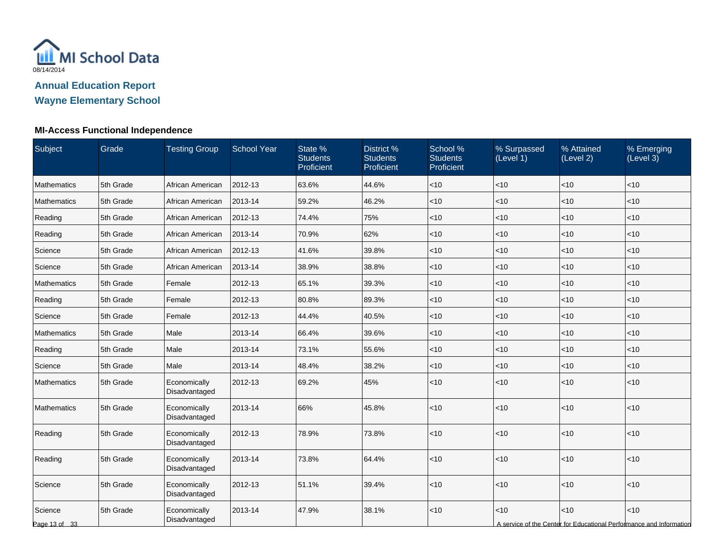

## **MI-Access Functional Independence**

| Subject                  | Grade     | <b>Testing Group</b>          | <b>School Year</b> | State %<br><b>Students</b><br>Proficient | District %<br><b>Students</b><br>Proficient | School %<br><b>Students</b><br>Proficient | % Surpassed<br>(Level 1) | % Attained<br>(Level 2) | % Emerging<br>(Level 3)                                                     |
|--------------------------|-----------|-------------------------------|--------------------|------------------------------------------|---------------------------------------------|-------------------------------------------|--------------------------|-------------------------|-----------------------------------------------------------------------------|
| <b>Mathematics</b>       | 5th Grade | African American              | 2012-13            | 63.6%                                    | 44.6%                                       | < 10                                      | < 10                     | < 10                    | < 10                                                                        |
| <b>Mathematics</b>       | 5th Grade | African American              | 2013-14            | 59.2%                                    | 46.2%                                       | < 10                                      | < 10                     | <10                     | < 10                                                                        |
| Reading                  | 5th Grade | African American              | 2012-13            | 74.4%                                    | 75%                                         | $<$ 10                                    | < 10                     | < 10                    | $<$ 10                                                                      |
| Reading                  | 5th Grade | African American              | 2013-14            | 70.9%                                    | 62%                                         | < 10                                      | < 10                     | < 10                    | < 10                                                                        |
| Science                  | 5th Grade | African American              | 2012-13            | 41.6%                                    | 39.8%                                       | < 10                                      | $<$ 10                   | $<$ 10                  | $<$ 10                                                                      |
| Science                  | 5th Grade | African American              | 2013-14            | 38.9%                                    | 38.8%                                       | $<$ 10                                    | $<$ 10                   | < 10                    | $<$ 10                                                                      |
| Mathematics              | 5th Grade | Female                        | 2012-13            | 65.1%                                    | 39.3%                                       | < 10                                      | $<$ 10                   | < 10                    | < 10                                                                        |
| Reading                  | 5th Grade | Female                        | 2012-13            | 80.8%                                    | 89.3%                                       | <10                                       | <10                      | <10                     | <10                                                                         |
| Science                  | 5th Grade | Female                        | 2012-13            | 44.4%                                    | 40.5%                                       | < 10                                      | < 10                     | <10                     | < 10                                                                        |
| Mathematics              | 5th Grade | Male                          | 2013-14            | 66.4%                                    | 39.6%                                       | < 10                                      | < 10                     | < 10                    | < 10                                                                        |
| Reading                  | 5th Grade | Male                          | 2013-14            | 73.1%                                    | 55.6%                                       | $<$ 10                                    | $<$ 10                   | < 10                    | $<$ 10                                                                      |
| Science                  | 5th Grade | Male                          | 2013-14            | 48.4%                                    | 38.2%                                       | $<$ 10                                    | $<$ 10                   | < 10                    | $<$ 10                                                                      |
| <b>Mathematics</b>       | 5th Grade | Economically<br>Disadvantaged | 2012-13            | 69.2%                                    | 45%                                         | < 10                                      | $<10$                    | <10                     | < 10                                                                        |
| Mathematics              | 5th Grade | Economically<br>Disadvantaged | 2013-14            | 66%                                      | 45.8%                                       | <10                                       | $<$ 10                   | <10                     | < 10                                                                        |
| Reading                  | 5th Grade | Economically<br>Disadvantaged | 2012-13            | 78.9%                                    | 73.8%                                       | < 10                                      | $<$ 10                   | <10                     | < 10                                                                        |
| Reading                  | 5th Grade | Economically<br>Disadvantaged | 2013-14            | 73.8%                                    | 64.4%                                       | <10                                       | $<$ 10                   | <10                     | $<10$                                                                       |
| Science                  | 5th Grade | Economically<br>Disadvantaged | 2012-13            | 51.1%                                    | 39.4%                                       | $<$ 10                                    | $<$ 10                   | <10                     | < 10                                                                        |
| Science<br>Page 13 of 33 | 5th Grade | Economically<br>Disadvantaged | 2013-14            | 47.9%                                    | 38.1%                                       | $<$ 10                                    | $<$ 10                   | < 10                    | < 10<br>A service of the Center for Educational Performance and Information |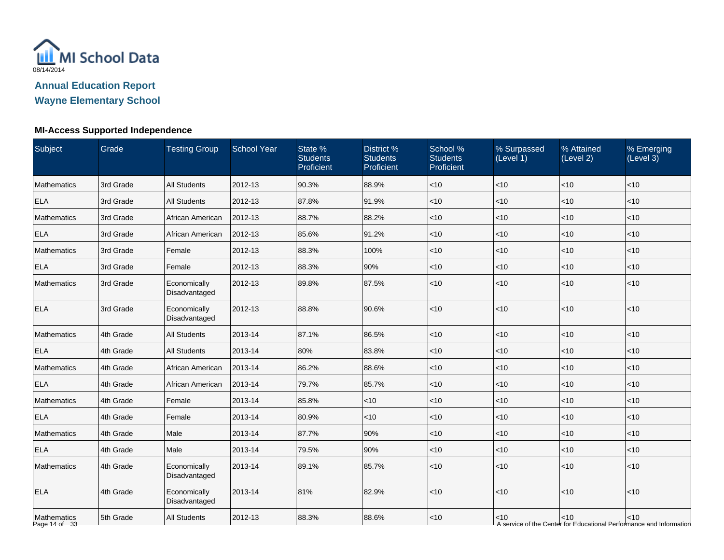

# **Wayne Elementary School**

## **MI-Access Supported Independence**

| Subject                      | <b>Grade</b> | <b>Testing Group</b>          | <b>School Year</b> | State %<br><b>Students</b><br>Proficient | District %<br><b>Students</b><br>Proficient | School %<br><b>Students</b><br>Proficient | % Surpassed<br>(Level 1) | % Attained<br>(Level 2) | % Emerging<br>(Level 3)                                                     |
|------------------------------|--------------|-------------------------------|--------------------|------------------------------------------|---------------------------------------------|-------------------------------------------|--------------------------|-------------------------|-----------------------------------------------------------------------------|
| Mathematics                  | 3rd Grade    | <b>All Students</b>           | 2012-13            | 90.3%                                    | 88.9%                                       | $ $ < 10                                  | <10                      | <10                     | $<$ 10                                                                      |
| <b>ELA</b>                   | 3rd Grade    | <b>All Students</b>           | 2012-13            | 87.8%                                    | 91.9%                                       | $ $ < 10                                  | <10                      | <10                     | <10                                                                         |
| <b>Mathematics</b>           | 3rd Grade    | African American              | 2012-13            | 88.7%                                    | 88.2%                                       | < 10                                      | <10                      | $<10$                   | $<10$                                                                       |
| <b>ELA</b>                   | 3rd Grade    | African American              | 2012-13            | 85.6%                                    | 91.2%                                       | $ $ < 10                                  | < 10                     | < 10                    | < 10                                                                        |
| Mathematics                  | 3rd Grade    | Female                        | 2012-13            | 88.3%                                    | 100%                                        | $<$ 10                                    | $<$ 10                   | < 10                    | $<$ 10                                                                      |
| <b>ELA</b>                   | 3rd Grade    | Female                        | 2012-13            | 88.3%                                    | 90%                                         | $ $ < 10                                  | <10                      | < 10                    | $<$ 10                                                                      |
| Mathematics                  | 3rd Grade    | Economically<br>Disadvantaged | 2012-13            | 89.8%                                    | 87.5%                                       | $<$ 10                                    | $<10$                    | $<10$                   | $<10$                                                                       |
| <b>ELA</b>                   | 3rd Grade    | Economically<br>Disadvantaged | 2012-13            | 88.8%                                    | 90.6%                                       | < 10                                      | <10                      | $\leq 10$               | < 10                                                                        |
| Mathematics                  | 4th Grade    | <b>All Students</b>           | 2013-14            | 87.1%                                    | 86.5%                                       | < 10                                      | <10                      | < 10                    | <10                                                                         |
| <b>ELA</b>                   | 4th Grade    | <b>All Students</b>           | 2013-14            | 80%                                      | 83.8%                                       | $ $ < 10                                  | <10                      | $\vert$ < 10            | < 10                                                                        |
| Mathematics                  | 4th Grade    | African American              | 2013-14            | 86.2%                                    | 88.6%                                       | < 10                                      | $<10$                    | $<10$                   | $<10$                                                                       |
| <b>ELA</b>                   | 4th Grade    | African American              | 2013-14            | 79.7%                                    | 85.7%                                       | $ $ < 10                                  | <10                      | < 10                    | < 10                                                                        |
| Mathematics                  | 4th Grade    | Female                        | 2013-14            | 85.8%                                    | $<$ 10                                      | $ $ < 10                                  | <10                      | < 10                    | < 10                                                                        |
| <b>ELA</b>                   | 4th Grade    | Female                        | 2013-14            | 80.9%                                    | $<$ 10                                      | $ $ < 10                                  | $<$ 10                   | < 10                    | $<$ 10                                                                      |
| Mathematics                  | 4th Grade    | Male                          | 2013-14            | 87.7%                                    | 90%                                         | $ $ < 10                                  | $<$ 10                   | $\vert$ < 10            | < 10                                                                        |
| <b>ELA</b>                   | 4th Grade    | Male                          | 2013-14            | 79.5%                                    | 90%                                         | < 10                                      | <10                      | < 10                    | < 10                                                                        |
| Mathematics                  | 4th Grade    | Economically<br>Disadvantaged | 2013-14            | 89.1%                                    | 85.7%                                       | $ $ < 10                                  | < 10                     | < 10                    | < 10                                                                        |
| <b>ELA</b>                   | 4th Grade    | Economically<br>Disadvantaged | 2013-14            | 81%                                      | 82.9%                                       | < 10                                      | <10                      | < 10                    | <10                                                                         |
| Mathematics<br>Page 14 of 33 | 5th Grade    | <b>All Students</b>           | 2012-13            | 88.3%                                    | 88.6%                                       | < 10                                      | < 10                     | < 10                    | < 10<br>A service of the Center for Educational Performance and Information |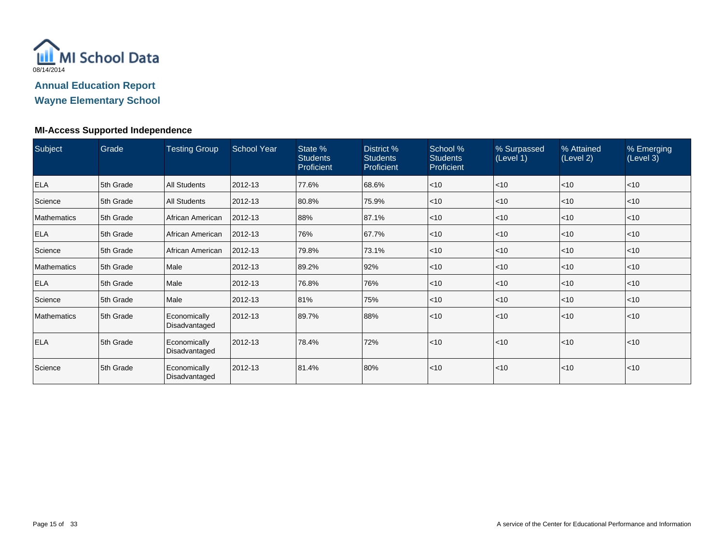

# **Wayne Elementary School**

#### **MI-Access Supported Independence**

| Subject            | Grade     | <b>Testing Group</b>          | <b>School Year</b> | State %<br><b>Students</b><br>Proficient | District %<br><b>Students</b><br>Proficient | School %<br><b>Students</b><br><b>Proficient</b> | % Surpassed<br>(Level 1) | % Attained<br>(Level 2) | % Emerging<br>(Level 3) |
|--------------------|-----------|-------------------------------|--------------------|------------------------------------------|---------------------------------------------|--------------------------------------------------|--------------------------|-------------------------|-------------------------|
| <b>ELA</b>         | 5th Grade | <b>All Students</b>           | 2012-13            | 77.6%                                    | 68.6%                                       | $\leq 10$                                        | $<$ 10                   | < 10                    | $ $ < 10                |
| Science            | 5th Grade | <b>All Students</b>           | 2012-13            | 80.8%                                    | 75.9%                                       | $ $ < 10                                         | $<$ 10                   | < 10                    | $<$ 10                  |
| <b>Mathematics</b> | 5th Grade | African American              | 2012-13            | 88%                                      | 87.1%                                       | $\leq 10$                                        | $<$ 10                   | < 10                    | $<$ 10                  |
| <b>ELA</b>         | 5th Grade | African American              | 2012-13            | 76%                                      | 67.7%                                       | $ $ < 10                                         | $<$ 10                   | < 10                    | $<$ 10                  |
| Science            | 5th Grade | African American              | 2012-13            | 79.8%                                    | 73.1%                                       | $\leq 10$                                        | $<$ 10                   | < 10                    | $<$ 10                  |
| <b>Mathematics</b> | 5th Grade | Male                          | 2012-13            | 89.2%                                    | 92%                                         | $ $ < 10                                         | $<$ 10                   | < 10                    | $ $ < 10                |
| <b>ELA</b>         | 5th Grade | Male                          | 2012-13            | 76.8%                                    | 76%                                         | $\leq 10$                                        | $<$ 10                   | < 10                    | $ $ < 10                |
| Science            | 5th Grade | Male                          | 2012-13            | 81%                                      | 75%                                         | $\leq 10$                                        | $<$ 10                   | < 10                    | $ $ < 10                |
| <b>Mathematics</b> | 5th Grade | Economically<br>Disadvantaged | 2012-13            | 89.7%                                    | 88%                                         | $ $ < 10                                         | < 10                     | < 10                    | < 10                    |
| <b>ELA</b>         | 5th Grade | Economically<br>Disadvantaged | 2012-13            | 78.4%                                    | 72%                                         | $\leq 10$                                        | < 10                     | < 10                    | < 10                    |
| Science            | 5th Grade | Economically<br>Disadvantaged | 2012-13            | 81.4%                                    | 80%                                         | $ $ < 10                                         | $<$ 10                   | < 10                    | $<$ 10                  |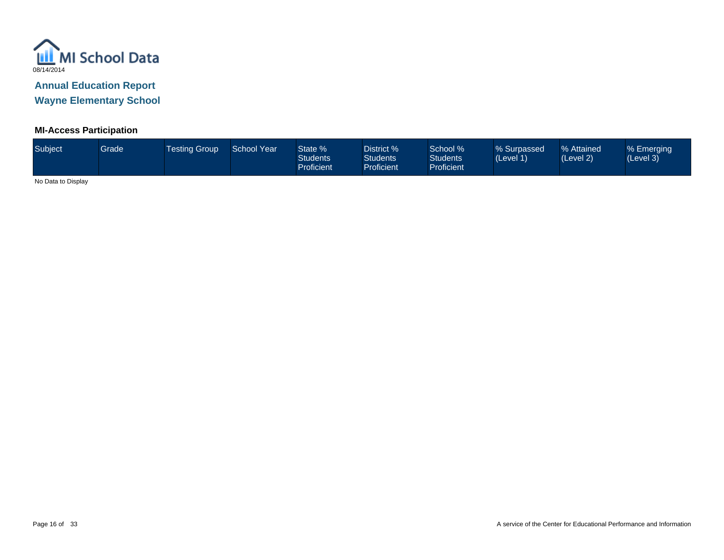

**Wayne Elementary School**

## **MI-Access Participation**

| Subject           | <b>Grade</b> | Testing Group ' | School Year | State %<br><b>Students</b><br><b>Proficient</b> | District %<br><b>Students</b><br>Proficient | School % <sup>1</sup><br><b>Students</b><br><b>Proficient</b> | % Surpassed<br>(Level 1) | % Attained<br>(Level 2) | % Emerging<br>(Level 3) |
|-------------------|--------------|-----------------|-------------|-------------------------------------------------|---------------------------------------------|---------------------------------------------------------------|--------------------------|-------------------------|-------------------------|
| $\cdots$ $\cdots$ |              |                 |             |                                                 |                                             |                                                               |                          |                         |                         |

No Data to Display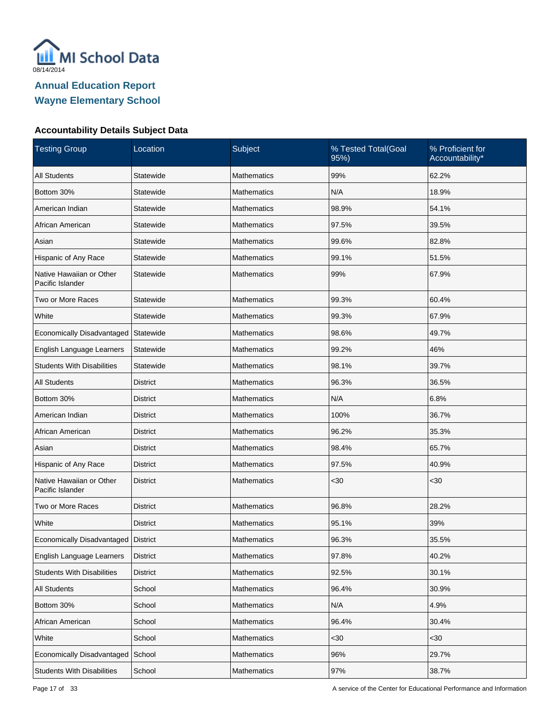

| <b>Testing Group</b>                         | Location        | Subject            | % Tested Total(Goal<br>95%) | % Proficient for<br>Accountability* |
|----------------------------------------------|-----------------|--------------------|-----------------------------|-------------------------------------|
| <b>All Students</b>                          | Statewide       | <b>Mathematics</b> | 99%                         | 62.2%                               |
| Bottom 30%                                   | Statewide       | <b>Mathematics</b> | N/A                         | 18.9%                               |
| American Indian                              | Statewide       | Mathematics        | 98.9%                       | 54.1%                               |
| African American                             | Statewide       | Mathematics        | 97.5%                       | 39.5%                               |
| Asian                                        | Statewide       | <b>Mathematics</b> | 99.6%                       | 82.8%                               |
| Hispanic of Any Race                         | Statewide       | Mathematics        | 99.1%                       | 51.5%                               |
| Native Hawaiian or Other<br>Pacific Islander | Statewide       | Mathematics        | 99%                         | 67.9%                               |
| Two or More Races                            | Statewide       | <b>Mathematics</b> | 99.3%                       | 60.4%                               |
| White                                        | Statewide       | <b>Mathematics</b> | 99.3%                       | 67.9%                               |
| Economically Disadvantaged                   | Statewide       | <b>Mathematics</b> | 98.6%                       | 49.7%                               |
| English Language Learners                    | Statewide       | <b>Mathematics</b> | 99.2%                       | 46%                                 |
| <b>Students With Disabilities</b>            | Statewide       | <b>Mathematics</b> | 98.1%                       | 39.7%                               |
| <b>All Students</b>                          | <b>District</b> | <b>Mathematics</b> | 96.3%                       | 36.5%                               |
| Bottom 30%                                   | <b>District</b> | <b>Mathematics</b> | N/A                         | 6.8%                                |
| American Indian                              | <b>District</b> | <b>Mathematics</b> | 100%                        | 36.7%                               |
| African American                             | <b>District</b> | <b>Mathematics</b> | 96.2%                       | 35.3%                               |
| Asian                                        | <b>District</b> | <b>Mathematics</b> | 98.4%                       | 65.7%                               |
| Hispanic of Any Race                         | <b>District</b> | <b>Mathematics</b> | 97.5%                       | 40.9%                               |
| Native Hawaiian or Other<br>Pacific Islander | <b>District</b> | <b>Mathematics</b> | <30                         | $30$                                |
| Two or More Races                            | <b>District</b> | <b>Mathematics</b> | 96.8%                       | 28.2%                               |
| White                                        | <b>District</b> | Mathematics        | 95.1%                       | 39%                                 |
| Economically Disadvantaged                   | District        | <b>Mathematics</b> | 96.3%                       | 35.5%                               |
| English Language Learners                    | <b>District</b> | Mathematics        | 97.8%                       | 40.2%                               |
| <b>Students With Disabilities</b>            | <b>District</b> | Mathematics        | 92.5%                       | 30.1%                               |
| All Students                                 | School          | Mathematics        | 96.4%                       | 30.9%                               |
| Bottom 30%                                   | School          | Mathematics        | N/A                         | 4.9%                                |
| African American                             | School          | Mathematics        | 96.4%                       | 30.4%                               |
| White                                        | School          | Mathematics        | $30$                        | <30                                 |
| Economically Disadvantaged                   | School          | Mathematics        | 96%                         | 29.7%                               |
| <b>Students With Disabilities</b>            | School          | Mathematics        | 97%                         | 38.7%                               |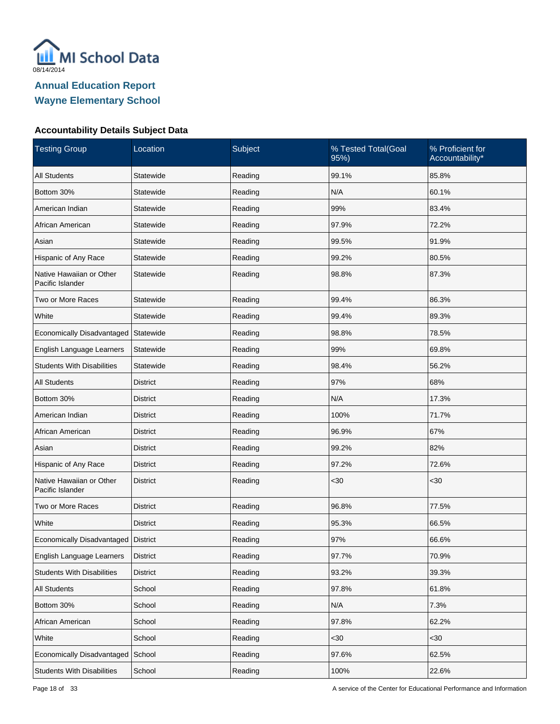

| <b>Testing Group</b>                         | Location        | Subject | % Tested Total(Goal<br>95%) | % Proficient for<br>Accountability* |
|----------------------------------------------|-----------------|---------|-----------------------------|-------------------------------------|
| <b>All Students</b>                          | Statewide       | Reading | 99.1%                       | 85.8%                               |
| Bottom 30%                                   | Statewide       | Reading | N/A                         | 60.1%                               |
| American Indian                              | Statewide       | Reading | 99%                         | 83.4%                               |
| African American                             | Statewide       | Reading | 97.9%                       | 72.2%                               |
| Asian                                        | Statewide       | Reading | 99.5%                       | 91.9%                               |
| Hispanic of Any Race                         | Statewide       | Reading | 99.2%                       | 80.5%                               |
| Native Hawaiian or Other<br>Pacific Islander | Statewide       | Reading | 98.8%                       | 87.3%                               |
| Two or More Races                            | Statewide       | Reading | 99.4%                       | 86.3%                               |
| White                                        | Statewide       | Reading | 99.4%                       | 89.3%                               |
| Economically Disadvantaged                   | Statewide       | Reading | 98.8%                       | 78.5%                               |
| English Language Learners                    | Statewide       | Reading | 99%                         | 69.8%                               |
| <b>Students With Disabilities</b>            | Statewide       | Reading | 98.4%                       | 56.2%                               |
| <b>All Students</b>                          | <b>District</b> | Reading | 97%                         | 68%                                 |
| Bottom 30%                                   | District        | Reading | N/A                         | 17.3%                               |
| American Indian                              | <b>District</b> | Reading | 100%                        | 71.7%                               |
| African American                             | District        | Reading | 96.9%                       | 67%                                 |
| Asian                                        | <b>District</b> | Reading | 99.2%                       | 82%                                 |
| Hispanic of Any Race                         | District        | Reading | 97.2%                       | 72.6%                               |
| Native Hawaiian or Other<br>Pacific Islander | <b>District</b> | Reading | <30                         | $30$                                |
| Two or More Races                            | <b>District</b> | Reading | 96.8%                       | 77.5%                               |
| White                                        | <b>District</b> | Reading | 95.3%                       | 66.5%                               |
| Economically Disadvantaged District          |                 | Reading | 97%                         | 66.6%                               |
| English Language Learners                    | <b>District</b> | Reading | 97.7%                       | 70.9%                               |
| <b>Students With Disabilities</b>            | <b>District</b> | Reading | 93.2%                       | 39.3%                               |
| All Students                                 | School          | Reading | 97.8%                       | 61.8%                               |
| Bottom 30%                                   | School          | Reading | N/A                         | 7.3%                                |
| African American                             | School          | Reading | 97.8%                       | 62.2%                               |
| White                                        | School          | Reading | $30$                        | <30                                 |
| Economically Disadvantaged                   | School          | Reading | 97.6%                       | 62.5%                               |
| <b>Students With Disabilities</b>            | School          | Reading | 100%                        | 22.6%                               |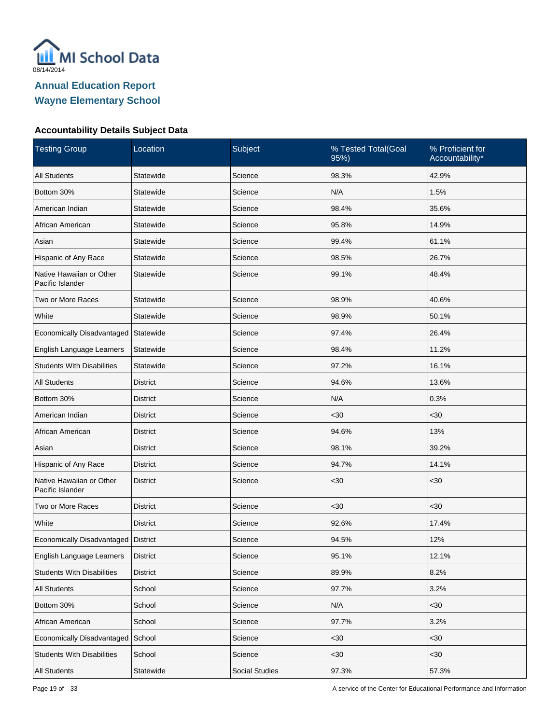

| <b>Testing Group</b>                         | Location        | Subject        | % Tested Total(Goal<br>95%) | % Proficient for<br>Accountability* |
|----------------------------------------------|-----------------|----------------|-----------------------------|-------------------------------------|
| <b>All Students</b>                          | Statewide       | Science        | 98.3%                       | 42.9%                               |
| Bottom 30%                                   | Statewide       | Science        | N/A                         | 1.5%                                |
| American Indian                              | Statewide       | Science        | 98.4%                       | 35.6%                               |
| African American                             | Statewide       | Science        | 95.8%                       | 14.9%                               |
| Asian                                        | Statewide       | Science        | 99.4%                       | 61.1%                               |
| Hispanic of Any Race                         | Statewide       | Science        | 98.5%                       | 26.7%                               |
| Native Hawaiian or Other<br>Pacific Islander | Statewide       | Science        | 99.1%                       | 48.4%                               |
| Two or More Races                            | Statewide       | Science        | 98.9%                       | 40.6%                               |
| White                                        | Statewide       | Science        | 98.9%                       | 50.1%                               |
| Economically Disadvantaged Statewide         |                 | Science        | 97.4%                       | 26.4%                               |
| English Language Learners                    | Statewide       | Science        | 98.4%                       | 11.2%                               |
| <b>Students With Disabilities</b>            | Statewide       | Science        | 97.2%                       | 16.1%                               |
| <b>All Students</b>                          | <b>District</b> | Science        | 94.6%                       | 13.6%                               |
| Bottom 30%                                   | <b>District</b> | Science        | N/A                         | 0.3%                                |
| American Indian                              | <b>District</b> | Science        | $30$                        | <30                                 |
| African American                             | <b>District</b> | Science        | 94.6%                       | 13%                                 |
| Asian                                        | <b>District</b> | Science        | 98.1%                       | 39.2%                               |
| Hispanic of Any Race                         | <b>District</b> | Science        | 94.7%                       | 14.1%                               |
| Native Hawaiian or Other<br>Pacific Islander | <b>District</b> | Science        | <30                         | $30$                                |
| Two or More Races                            | <b>District</b> | Science        | $30$                        | $30$                                |
| White                                        | <b>District</b> | Science        | 92.6%                       | 17.4%                               |
| Economically Disadvantaged                   | District        | Science        | 94.5%                       | 12%                                 |
| English Language Learners                    | <b>District</b> | Science        | 95.1%                       | 12.1%                               |
| <b>Students With Disabilities</b>            | <b>District</b> | Science        | 89.9%                       | 8.2%                                |
| All Students                                 | School          | Science        | 97.7%                       | 3.2%                                |
| Bottom 30%                                   | School          | Science        | N/A                         | <30                                 |
| African American                             | School          | Science        | 97.7%                       | 3.2%                                |
| Economically Disadvantaged                   | School          | Science        | $30$                        | <30                                 |
| <b>Students With Disabilities</b>            | School          | Science        | $30$                        | $30$                                |
| All Students                                 | Statewide       | Social Studies | 97.3%                       | 57.3%                               |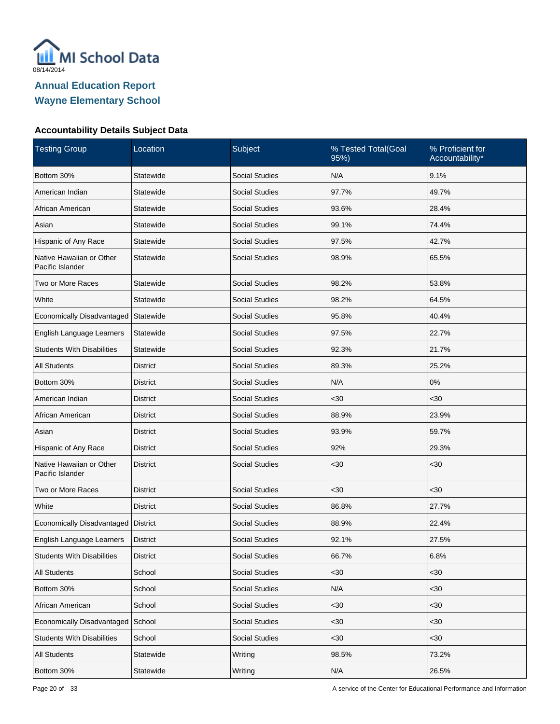

| <b>Testing Group</b>                         | Location        | Subject               | % Tested Total(Goal<br>95%) | % Proficient for<br>Accountability* |
|----------------------------------------------|-----------------|-----------------------|-----------------------------|-------------------------------------|
| Bottom 30%                                   | Statewide       | <b>Social Studies</b> | N/A                         | 9.1%                                |
| American Indian                              | Statewide       | <b>Social Studies</b> | 97.7%                       | 49.7%                               |
| African American                             | Statewide       | <b>Social Studies</b> | 93.6%                       | 28.4%                               |
| Asian                                        | Statewide       | <b>Social Studies</b> | 99.1%                       | 74.4%                               |
| Hispanic of Any Race                         | Statewide       | <b>Social Studies</b> | 97.5%                       | 42.7%                               |
| Native Hawaiian or Other<br>Pacific Islander | Statewide       | <b>Social Studies</b> | 98.9%                       | 65.5%                               |
| Two or More Races                            | Statewide       | <b>Social Studies</b> | 98.2%                       | 53.8%                               |
| White                                        | Statewide       | <b>Social Studies</b> | 98.2%                       | 64.5%                               |
| Economically Disadvantaged                   | Statewide       | <b>Social Studies</b> | 95.8%                       | 40.4%                               |
| English Language Learners                    | Statewide       | <b>Social Studies</b> | 97.5%                       | 22.7%                               |
| <b>Students With Disabilities</b>            | Statewide       | <b>Social Studies</b> | 92.3%                       | 21.7%                               |
| <b>All Students</b>                          | District        | <b>Social Studies</b> | 89.3%                       | 25.2%                               |
| Bottom 30%                                   | District        | <b>Social Studies</b> | N/A                         | 0%                                  |
| American Indian                              | District        | <b>Social Studies</b> | $30$                        | $30$                                |
| African American                             | District        | <b>Social Studies</b> | 88.9%                       | 23.9%                               |
| Asian                                        | District        | <b>Social Studies</b> | 93.9%                       | 59.7%                               |
| Hispanic of Any Race                         | <b>District</b> | <b>Social Studies</b> | 92%                         | 29.3%                               |
| Native Hawaiian or Other<br>Pacific Islander | <b>District</b> | <b>Social Studies</b> | $30$                        | $30$                                |
| Two or More Races                            | <b>District</b> | <b>Social Studies</b> | <30                         | <30                                 |
| White                                        | <b>District</b> | <b>Social Studies</b> | 86.8%                       | 27.7%                               |
| Economically Disadvantaged                   | District        | <b>Social Studies</b> | 88.9%                       | 22.4%                               |
| English Language Learners                    | <b>District</b> | <b>Social Studies</b> | 92.1%                       | 27.5%                               |
| <b>Students With Disabilities</b>            | <b>District</b> | Social Studies        | 66.7%                       | 6.8%                                |
| <b>All Students</b>                          | School          | <b>Social Studies</b> | <30                         | <30                                 |
| Bottom 30%                                   | School          | Social Studies        | N/A                         | $30$                                |
| African American                             | School          | Social Studies        | <30                         | $30$                                |
| Economically Disadvantaged School            |                 | Social Studies        | $30$                        | $30$                                |
| <b>Students With Disabilities</b>            | School          | Social Studies        | <30                         | $30$                                |
| All Students                                 | Statewide       | Writing               | 98.5%                       | 73.2%                               |
| Bottom 30%                                   | Statewide       | Writing               | N/A                         | 26.5%                               |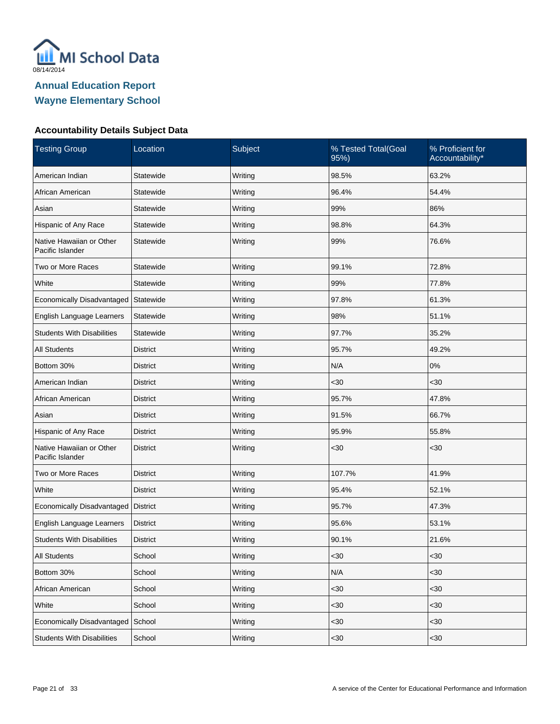

| <b>Testing Group</b>                         | Location        | Subject | % Tested Total(Goal<br>95%) | % Proficient for<br>Accountability* |
|----------------------------------------------|-----------------|---------|-----------------------------|-------------------------------------|
| American Indian                              | Statewide       | Writing | 98.5%                       | 63.2%                               |
| African American                             | Statewide       | Writing | 96.4%                       | 54.4%                               |
| Asian                                        | Statewide       | Writing | 99%                         | 86%                                 |
| Hispanic of Any Race                         | Statewide       | Writing | 98.8%                       | 64.3%                               |
| Native Hawaiian or Other<br>Pacific Islander | Statewide       | Writing | 99%                         | 76.6%                               |
| Two or More Races                            | Statewide       | Writing | 99.1%                       | 72.8%                               |
| White                                        | Statewide       | Writing | 99%                         | 77.8%                               |
| Economically Disadvantaged                   | Statewide       | Writing | 97.8%                       | 61.3%                               |
| English Language Learners                    | Statewide       | Writing | 98%                         | 51.1%                               |
| <b>Students With Disabilities</b>            | Statewide       | Writing | 97.7%                       | 35.2%                               |
| <b>All Students</b>                          | <b>District</b> | Writing | 95.7%                       | 49.2%                               |
| Bottom 30%                                   | District        | Writing | N/A                         | $0\%$                               |
| American Indian                              | <b>District</b> | Writing | $30$                        | <30                                 |
| African American                             | <b>District</b> | Writing | 95.7%                       | 47.8%                               |
| Asian                                        | <b>District</b> | Writing | 91.5%                       | 66.7%                               |
| Hispanic of Any Race                         | <b>District</b> | Writing | 95.9%                       | 55.8%                               |
| Native Hawaiian or Other<br>Pacific Islander | <b>District</b> | Writing | $30$                        | $30$                                |
| Two or More Races                            | <b>District</b> | Writing | 107.7%                      | 41.9%                               |
| White                                        | <b>District</b> | Writing | 95.4%                       | 52.1%                               |
| Economically Disadvantaged                   | <b>District</b> | Writing | 95.7%                       | 47.3%                               |
| English Language Learners                    | <b>District</b> | Writing | 95.6%                       | 53.1%                               |
| <b>Students With Disabilities</b>            | <b>District</b> | Writing | 90.1%                       | 21.6%                               |
| All Students                                 | School          | Writing | $30$                        | $30$                                |
| Bottom 30%                                   | School          | Writing | N/A                         | <30                                 |
| African American                             | School          | Writing | $30$                        | <30                                 |
| White                                        | School          | Writing | $30$                        | <30                                 |
| Economically Disadvantaged                   | School          | Writing | $30$                        | $30$                                |
| <b>Students With Disabilities</b>            | School          | Writing | <30                         | $30$                                |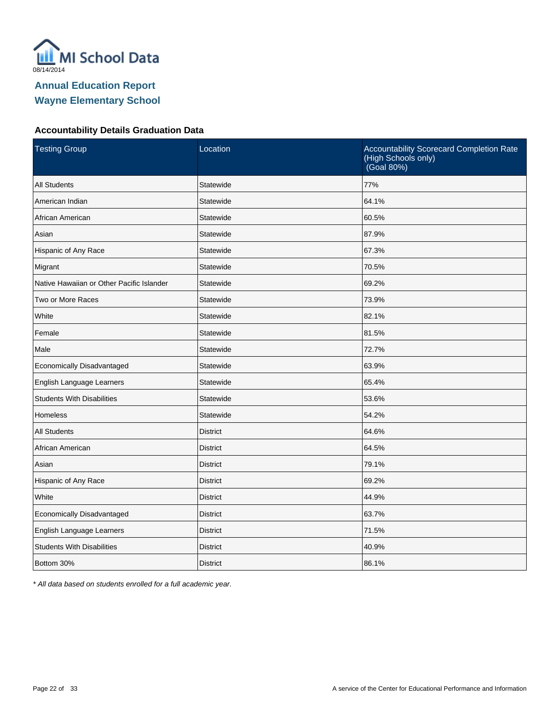

#### **Accountability Details Graduation Data**

| <b>Testing Group</b>                      | Location        | Accountability Scorecard Completion Rate<br>(High Schools only)<br>(Goal 80%) |
|-------------------------------------------|-----------------|-------------------------------------------------------------------------------|
| <b>All Students</b>                       | Statewide       | 77%                                                                           |
| American Indian                           | Statewide       | 64.1%                                                                         |
| African American                          | Statewide       | 60.5%                                                                         |
| Asian                                     | Statewide       | 87.9%                                                                         |
| Hispanic of Any Race                      | Statewide       | 67.3%                                                                         |
| Migrant                                   | Statewide       | 70.5%                                                                         |
| Native Hawaiian or Other Pacific Islander | Statewide       | 69.2%                                                                         |
| Two or More Races                         | Statewide       | 73.9%                                                                         |
| White                                     | Statewide       | 82.1%                                                                         |
| Female                                    | Statewide       | 81.5%                                                                         |
| Male                                      | Statewide       | 72.7%                                                                         |
| Economically Disadvantaged                | Statewide       | 63.9%                                                                         |
| English Language Learners                 | Statewide       | 65.4%                                                                         |
| <b>Students With Disabilities</b>         | Statewide       | 53.6%                                                                         |
| <b>Homeless</b>                           | Statewide       | 54.2%                                                                         |
| <b>All Students</b>                       | <b>District</b> | 64.6%                                                                         |
| African American                          | <b>District</b> | 64.5%                                                                         |
| Asian                                     | <b>District</b> | 79.1%                                                                         |
| Hispanic of Any Race                      | <b>District</b> | 69.2%                                                                         |
| White                                     | <b>District</b> | 44.9%                                                                         |
| Economically Disadvantaged                | <b>District</b> | 63.7%                                                                         |
| English Language Learners                 | <b>District</b> | 71.5%                                                                         |
| <b>Students With Disabilities</b>         | <b>District</b> | 40.9%                                                                         |
| Bottom 30%                                | <b>District</b> | 86.1%                                                                         |

\* All data based on students enrolled for a full academic year.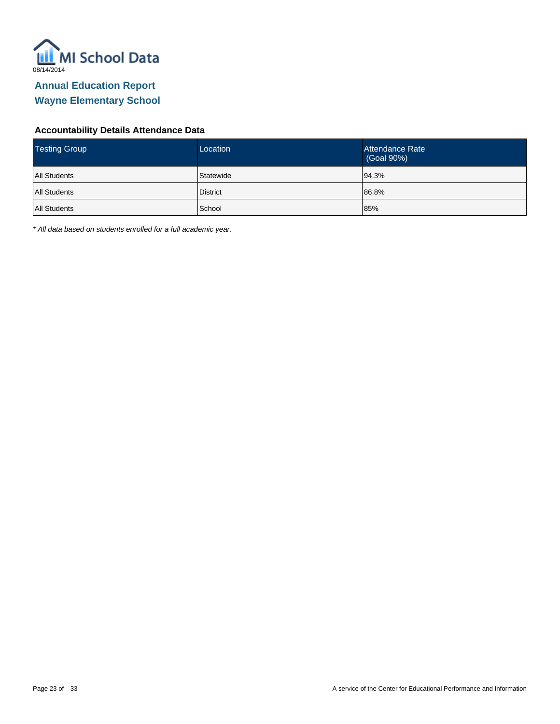

#### **Accountability Details Attendance Data**

| <b>Testing Group</b> | Location        | Attendance Rate<br>(Goal 90%) |
|----------------------|-----------------|-------------------------------|
| <b>All Students</b>  | Statewide       | 94.3%                         |
| <b>All Students</b>  | <b>District</b> | 86.8%                         |
| <b>All Students</b>  | School          | 85%                           |

\* All data based on students enrolled for a full academic year.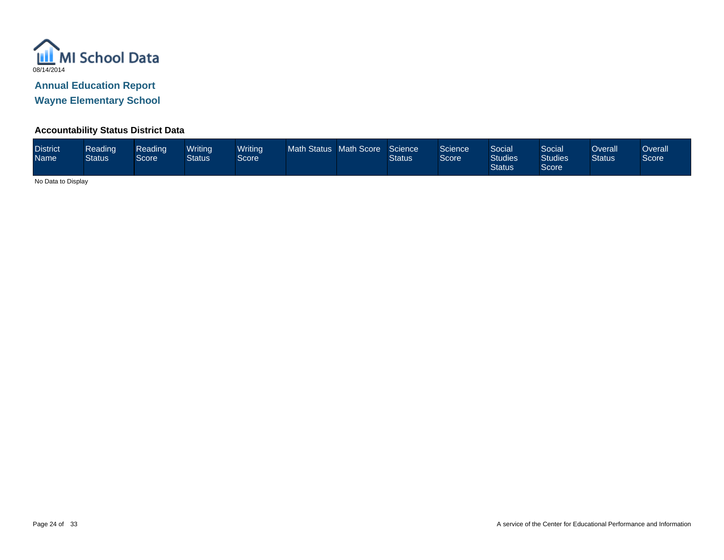

**Wayne Elementary School**

#### **Accountability Status District Data**

| <b>District</b><br><b>Name</b> | Reading<br><b>Status</b> | Reading<br>Score | Writina<br><b>Status</b> | <b>Writing</b><br>Score <sup>1</sup> | Math Status Math Score |  | Science<br><b>Status</b> | Science<br>Score <sup>1</sup> | Social<br><b>Studies</b><br><b>Status</b> | Social<br><b>Studies</b><br>Score | Overall<br><b>Status</b> | Dverall<br>Score |
|--------------------------------|--------------------------|------------------|--------------------------|--------------------------------------|------------------------|--|--------------------------|-------------------------------|-------------------------------------------|-----------------------------------|--------------------------|------------------|
|--------------------------------|--------------------------|------------------|--------------------------|--------------------------------------|------------------------|--|--------------------------|-------------------------------|-------------------------------------------|-----------------------------------|--------------------------|------------------|

No Data to Display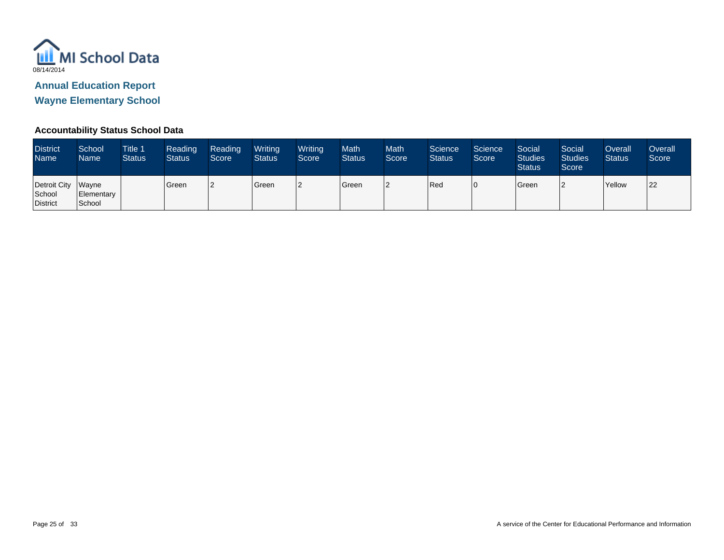

**Wayne Elementary School**

#### **Accountability Status School Data**

| <b>District</b><br>Name <sup>1</sup>     | School<br>Name       | <b>Title 1</b><br><b>Status</b> | Reading<br><b>Status</b> | Reading<br>Score | Writing<br><b>Status</b> | Writing<br>Score | Math<br><b>Status</b> | <b>Math</b><br>Score | Science<br><b>Status</b> | Science<br>Score | Social<br><b>Studies</b><br><b>Status</b> | Social<br><b>Studies</b><br>Score | Overall<br><b>Status</b> | Overall<br>Score |
|------------------------------------------|----------------------|---------------------------------|--------------------------|------------------|--------------------------|------------------|-----------------------|----------------------|--------------------------|------------------|-------------------------------------------|-----------------------------------|--------------------------|------------------|
| Detroit City Wayne<br>School<br>District | Elementary<br>School |                                 | Green                    |                  | Green                    |                  | Green                 | 2                    | Red                      | l O              | Green                                     | ╸                                 | Yellow                   | 122              |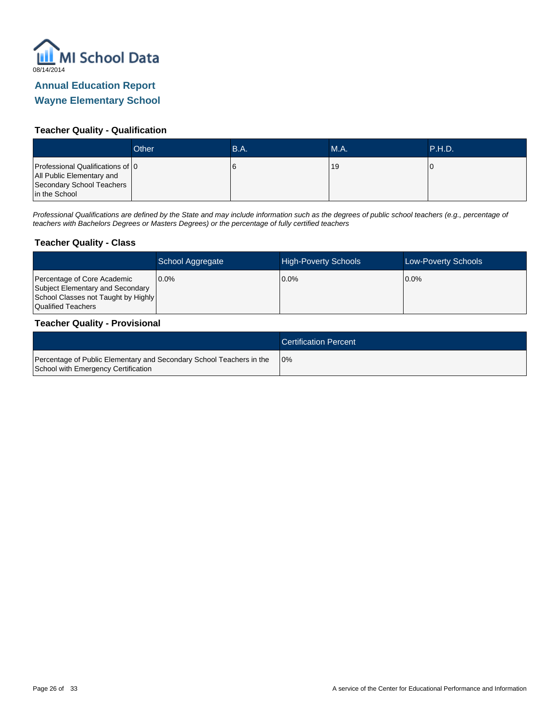

#### **Teacher Quality - Qualification**

|                                                                                                             | Other | B.A. | MA. | .P.H.D.' |
|-------------------------------------------------------------------------------------------------------------|-------|------|-----|----------|
| Professional Qualifications of 0<br>All Public Elementary and<br>Secondary School Teachers<br>in the School |       |      | 19  |          |

Professional Qualifications are defined by the State and may include information such as the degrees of public school teachers (e.g., percentage of teachers with Bachelors Degrees or Masters Degrees) or the percentage of fully certified teachers

#### **Teacher Quality - Class**

|                                                                                                                              | School Aggregate | <b>High-Poverty Schools</b> | <b>Low-Poverty Schools</b> |
|------------------------------------------------------------------------------------------------------------------------------|------------------|-----------------------------|----------------------------|
| Percentage of Core Academic<br>Subject Elementary and Secondary<br>School Classes not Taught by Highly<br>Qualified Teachers | 10.0%            | 0.0%                        | $0.0\%$                    |

#### **Teacher Quality - Provisional**

|                                                                                                             | <b>Certification Percent</b> |
|-------------------------------------------------------------------------------------------------------------|------------------------------|
| Percentage of Public Elementary and Secondary School Teachers in the<br>School with Emergency Certification | 10%                          |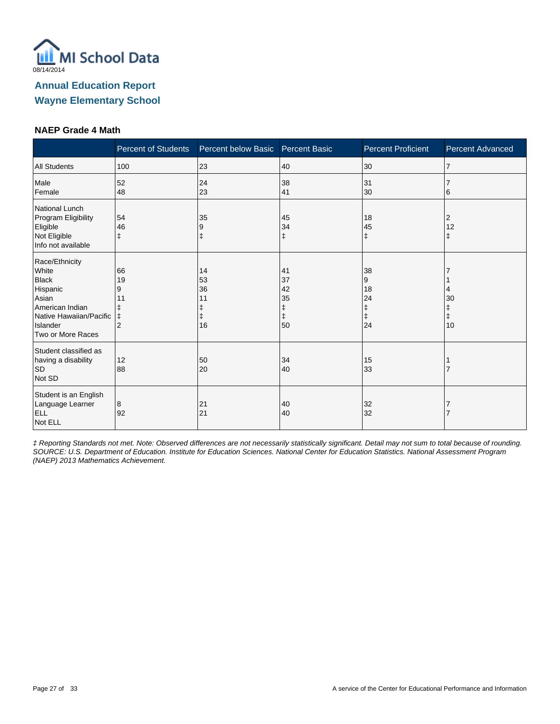

#### **NAEP Grade 4 Math**

|                                                                                                                                             | <b>Percent of Students</b>                 | Percent below Basic Percent Basic |                                 | <b>Percent Proficient</b>           | <b>Percent Advanced</b>     |
|---------------------------------------------------------------------------------------------------------------------------------------------|--------------------------------------------|-----------------------------------|---------------------------------|-------------------------------------|-----------------------------|
| <b>All Students</b>                                                                                                                         | 100                                        | 23                                | 40                              | 30                                  | 17                          |
| Male<br>Female                                                                                                                              | 52<br>48                                   | 24<br>23                          | 38<br>41                        | 31<br>30                            | 6                           |
| National Lunch<br>Program Eligibility<br>Eligible<br>Not Eligible<br>Info not available                                                     | 54<br>46<br>ŧ                              | 35<br>9                           | 45<br>34<br>$\ddagger$          | 18<br>45<br>$\ddagger$              | 2<br>12<br>ŧ                |
| Race/Ethnicity<br>White<br><b>Black</b><br>Hispanic<br>Asian<br>American Indian<br>Native Hawaiian/Pacific<br>Islander<br>Two or More Races | 66<br>19<br>9<br>11<br>ŧ<br>$\overline{2}$ | 14<br>53<br>36<br>11<br>16        | 41<br>37<br>42<br>35<br>ŧ<br>50 | 38<br>9<br>18<br>24<br>ŧ<br>ŧ<br>24 | 4<br>30<br>$\ddagger$<br>10 |
| Student classified as<br>having a disability<br><b>SD</b><br>Not SD                                                                         | 12<br>88                                   | 50<br>20                          | 34<br>40                        | 15<br>33                            |                             |
| Student is an English<br>Language Learner<br><b>ELL</b><br>Not ELL                                                                          | 8<br>92                                    | 21<br>21                          | 40<br>40                        | 32<br>32                            |                             |

‡ Reporting Standards not met. Note: Observed differences are not necessarily statistically significant. Detail may not sum to total because of rounding. SOURCE: U.S. Department of Education. Institute for Education Sciences. National Center for Education Statistics. National Assessment Program (NAEP) 2013 Mathematics Achievement.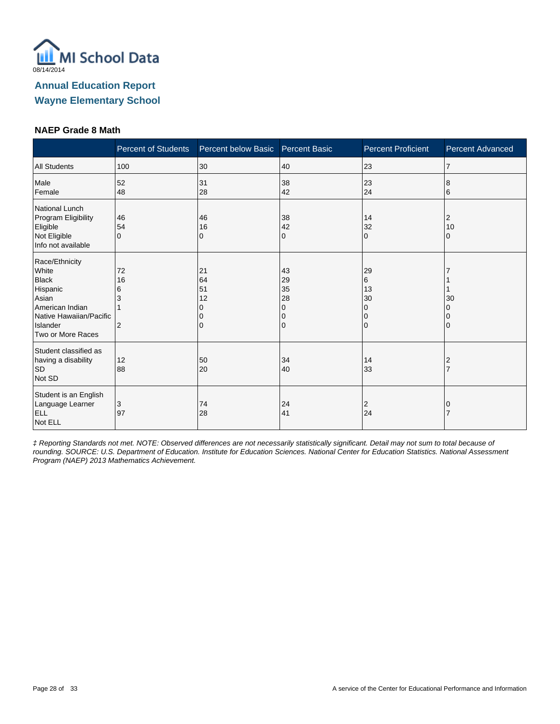

#### **NAEP Grade 8 Math**

|                                                                                                                                             | <b>Percent of Students</b>           | Percent below Basic       | <b>Percent Basic</b>                | <b>Percent Proficient</b>                 | <b>Percent Advanced</b> |
|---------------------------------------------------------------------------------------------------------------------------------------------|--------------------------------------|---------------------------|-------------------------------------|-------------------------------------------|-------------------------|
| <b>All Students</b>                                                                                                                         | 100                                  | 30                        | 40                                  | 23                                        | $\overline{7}$          |
| Male<br>Female                                                                                                                              | 52<br>48                             | 31<br>28                  | 38<br>42                            | 23<br>24                                  | 8<br>6                  |
| National Lunch<br>Program Eligibility<br>Eligible<br>Not Eligible<br>Info not available                                                     | 46<br>54<br>$\Omega$                 | 46<br>16<br>0             | 38<br>42<br>0                       | 14<br>32<br>$\Omega$                      | 2<br>10<br>0            |
| Race/Ethnicity<br>White<br><b>Black</b><br>Hispanic<br>Asian<br>American Indian<br>Native Hawaiian/Pacific<br>Islander<br>Two or More Races | 72<br>16<br>6<br>3<br>$\overline{2}$ | 21<br>64<br>51<br>12<br>0 | 43<br>29<br>35<br>28<br>0<br>0<br>0 | 29<br>6<br>13<br>30<br>0<br>0<br>$\Omega$ | 30<br>0                 |
| Student classified as<br>having a disability<br><b>SD</b><br>Not SD                                                                         | 12<br>88                             | 50<br>20                  | 34<br>40                            | 14<br>33                                  | 2                       |
| Student is an English<br>Language Learner<br><b>ELL</b><br>Not ELL                                                                          | 3<br>97                              | 74<br>28                  | 24<br>41                            | 2<br>24                                   |                         |

‡ Reporting Standards not met. NOTE: Observed differences are not necessarily statistically significant. Detail may not sum to total because of rounding. SOURCE: U.S. Department of Education. Institute for Education Sciences. National Center for Education Statistics. National Assessment Program (NAEP) 2013 Mathematics Achievement.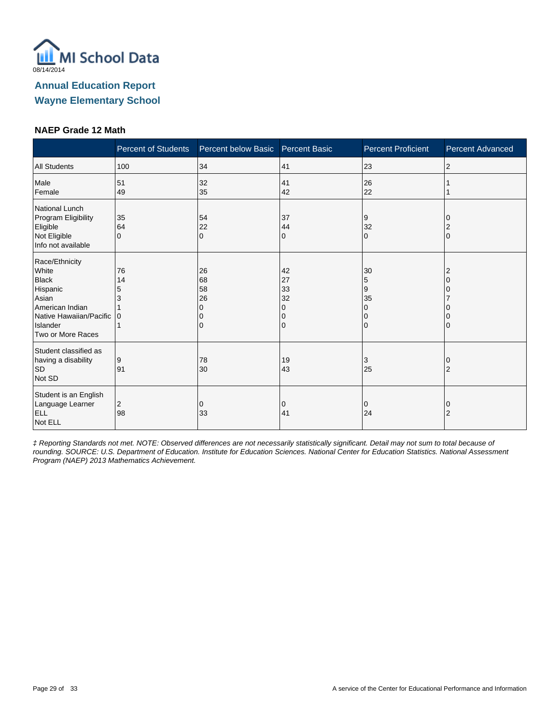

#### **NAEP Grade 12 Math**

|                                                                                                                                             | <b>Percent of Students</b>     | Percent below Basic Percent Basic |                                | <b>Percent Proficient</b>           | <b>Percent Advanced</b> |
|---------------------------------------------------------------------------------------------------------------------------------------------|--------------------------------|-----------------------------------|--------------------------------|-------------------------------------|-------------------------|
| <b>All Students</b>                                                                                                                         | 100                            | 34                                | 41                             | 23                                  | $\overline{2}$          |
| Male<br>Female                                                                                                                              | 51<br>49                       | 32<br>35                          | 41<br>42                       | 26<br>22                            |                         |
| National Lunch<br>Program Eligibility<br>Eligible<br>Not Eligible<br>Info not available                                                     | 35<br>64<br>$\Omega$           | 54<br>22<br>$\Omega$              | 37<br>44<br>$\mathbf{0}$       | 9<br>32<br>$\Omega$                 | $\Omega$                |
| Race/Ethnicity<br>White<br><b>Black</b><br>Hispanic<br>Asian<br>American Indian<br>Native Hawaiian/Pacific<br>Islander<br>Two or More Races | 76<br>14<br>5<br>3<br>$\Omega$ | 26<br>68<br>58<br>26<br>0         | 42<br>27<br>33<br>32<br>O<br>0 | 30<br>5<br>9<br>35<br>0<br>0<br>l O |                         |
| Student classified as<br>having a disability<br><b>SD</b><br>Not SD                                                                         | 9<br>91                        | 78<br>30                          | 19<br>43                       | 3<br>25                             | 2                       |
| Student is an English<br>Language Learner<br>ELL<br>Not ELL                                                                                 | 2<br>98                        | 0<br>33                           | 0<br>41                        | 0<br>24                             | 0<br>$\overline{2}$     |

‡ Reporting Standards not met. NOTE: Observed differences are not necessarily statistically significant. Detail may not sum to total because of rounding. SOURCE: U.S. Department of Education. Institute for Education Sciences. National Center for Education Statistics. National Assessment Program (NAEP) 2013 Mathematics Achievement.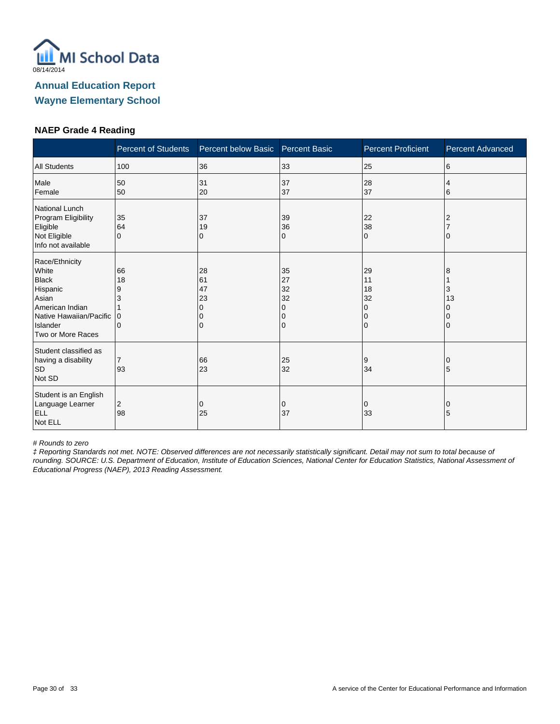

#### **NAEP Grade 4 Reading**

|                                                                                                                                             | <b>Percent of Students</b>          | Percent below Basic            | <b>Percent Basic</b>                | <b>Percent Proficient</b>             | <b>Percent Advanced</b> |
|---------------------------------------------------------------------------------------------------------------------------------------------|-------------------------------------|--------------------------------|-------------------------------------|---------------------------------------|-------------------------|
| <b>All Students</b>                                                                                                                         | 100                                 | 36                             | 33                                  | 25                                    | 6                       |
| Male<br>Female                                                                                                                              | 50<br>50                            | 31<br>20                       | 37<br>37                            | 28<br>37                              | 4<br>6                  |
| National Lunch<br>Program Eligibility<br>Eligible<br>Not Eligible<br>Info not available                                                     | 35<br>64<br>$\Omega$                | 37<br>19<br>0                  | 39<br>36<br>0                       | 22<br>38<br>$\Omega$                  | 2                       |
| Race/Ethnicity<br>White<br><b>Black</b><br>Hispanic<br>Asian<br>American Indian<br>Native Hawaiian/Pacific<br>Islander<br>Two or More Races | 66<br>18<br>9<br>3<br>0<br>$\Omega$ | 28<br>61<br>47<br>23<br>n<br>0 | 35<br>27<br>32<br>32<br>0<br>0<br>0 | 29<br>11<br>18<br>32<br>0<br>$\Omega$ | 8<br>3<br>13<br>0       |
| Student classified as<br>having a disability<br><b>SD</b><br>Not SD                                                                         | $\overline{7}$<br>93                | 66<br>23                       | 25<br>32                            | 9<br>34                               | 5                       |
| Student is an English<br>Language Learner<br><b>ELL</b><br>Not ELL                                                                          | 2<br>98                             | 0<br>25                        | 0<br>37                             | 0<br>33                               | 0<br>5                  |

# Rounds to zero

‡ Reporting Standards not met. NOTE: Observed differences are not necessarily statistically significant. Detail may not sum to total because of rounding. SOURCE: U.S. Department of Education, Institute of Education Sciences, National Center for Education Statistics, National Assessment of Educational Progress (NAEP), 2013 Reading Assessment.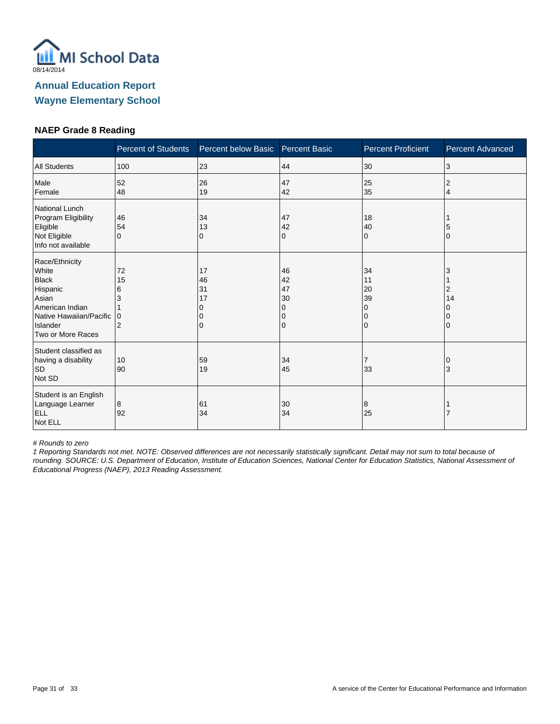

#### **NAEP Grade 8 Reading**

|                                                                                                                                             | <b>Percent of Students</b>                | Percent below Basic       | <b>Percent Basic</b>                | <b>Percent Proficient</b>                     | <b>Percent Advanced</b> |
|---------------------------------------------------------------------------------------------------------------------------------------------|-------------------------------------------|---------------------------|-------------------------------------|-----------------------------------------------|-------------------------|
| <b>All Students</b>                                                                                                                         | 100                                       | 23                        | 44                                  | 30                                            | 3                       |
| Male<br>Female                                                                                                                              | 52<br>48                                  | 26<br>19                  | 47<br>42                            | 25<br>35                                      | 2<br>4                  |
| National Lunch<br>Program Eligibility<br>Eligible<br>Not Eligible<br>Info not available                                                     | 46<br>54<br>$\Omega$                      | 34<br>13<br>0             | 47<br>42<br>0                       | 18<br>40<br>$\Omega$                          | 5<br>$\mathbf{0}$       |
| Race/Ethnicity<br>White<br><b>Black</b><br>Hispanic<br>Asian<br>American Indian<br>Native Hawaiian/Pacific<br>Islander<br>Two or More Races | 72<br>15<br>6<br>3<br>0<br>$\overline{2}$ | 17<br>46<br>31<br>17<br>0 | 46<br>42<br>47<br>30<br>0<br>0<br>0 | 34<br>11<br>20<br>39<br>0<br>0<br>$\mathbf 0$ | 3<br>2<br>14            |
| Student classified as<br>having a disability<br><b>SD</b><br>Not SD                                                                         | 10<br>90                                  | 59<br>19                  | 34<br>45                            | $\overline{7}$<br>33                          | 3                       |
| Student is an English<br>Language Learner<br>ELL<br>Not ELL                                                                                 | 8<br>92                                   | 61<br>34                  | 30<br>34                            | 8<br>25                                       |                         |

# Rounds to zero

‡ Reporting Standards not met. NOTE: Observed differences are not necessarily statistically significant. Detail may not sum to total because of rounding. SOURCE: U.S. Department of Education, Institute of Education Sciences, National Center for Education Statistics, National Assessment of Educational Progress (NAEP), 2013 Reading Assessment.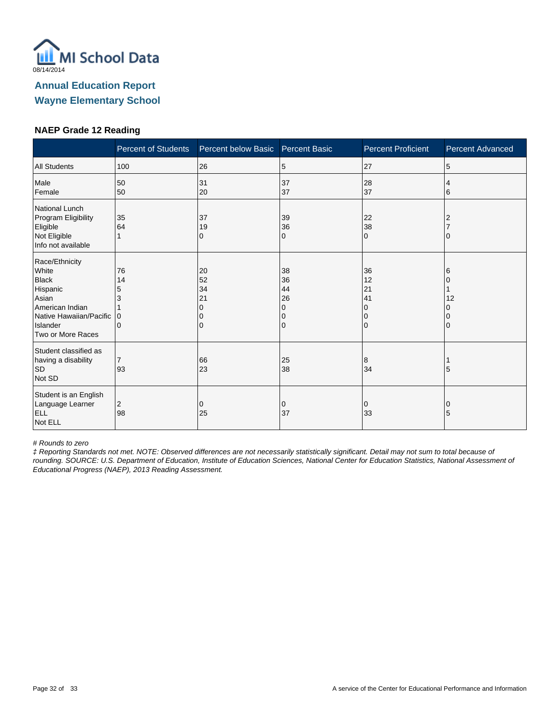

#### **NAEP Grade 12 Reading**

|                                                                                                                                             | <b>Percent of Students</b>          | Percent below Basic       | <b>Percent Basic</b>                | <b>Percent Proficient</b>                                       | <b>Percent Advanced</b> |
|---------------------------------------------------------------------------------------------------------------------------------------------|-------------------------------------|---------------------------|-------------------------------------|-----------------------------------------------------------------|-------------------------|
| <b>All Students</b>                                                                                                                         | 100                                 | 26                        | 5                                   | 27                                                              | 5                       |
| Male<br>Female                                                                                                                              | 50<br>50                            | 31<br>20                  | 37<br>37                            | 28<br>37                                                        | 4<br>6                  |
| National Lunch<br>Program Eligibility<br>Eligible<br>Not Eligible<br>Info not available                                                     | 35<br>64                            | 37<br>19<br>0             | 39<br>36<br>0                       | 22<br>38<br>$\Omega$                                            |                         |
| Race/Ethnicity<br>White<br><b>Black</b><br>Hispanic<br>Asian<br>American Indian<br>Native Hawaiian/Pacific<br>Islander<br>Two or More Races | 76<br>14<br>5<br>3<br>$\Omega$<br>0 | 20<br>52<br>34<br>21<br>0 | 38<br>36<br>44<br>26<br>0<br>0<br>0 | 36<br>12<br>21<br>41<br><sup>0</sup><br>$\Omega$<br>$\mathbf 0$ | 6<br>12                 |
| Student classified as<br>having a disability<br><b>SD</b><br>Not SD                                                                         | $\overline{7}$<br>93                | 66<br>23                  | 25<br>38                            | 8<br>34                                                         | 5                       |
| Student is an English<br>Language Learner<br><b>ELL</b><br>Not ELL                                                                          | 2<br>98                             | 0<br>25                   | 0<br>37                             | 0<br>33                                                         | 0<br>5                  |

# Rounds to zero

‡ Reporting Standards not met. NOTE: Observed differences are not necessarily statistically significant. Detail may not sum to total because of rounding. SOURCE: U.S. Department of Education, Institute of Education Sciences, National Center for Education Statistics, National Assessment of Educational Progress (NAEP), 2013 Reading Assessment.